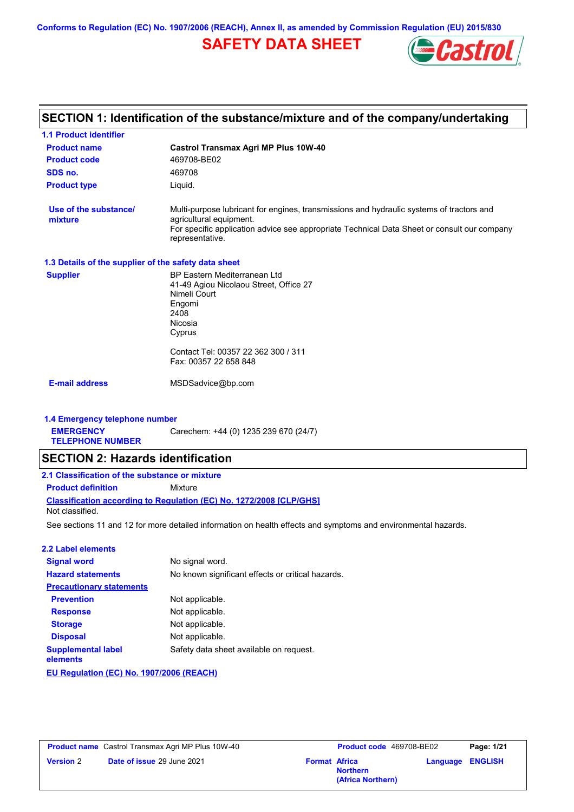**Conforms to Regulation (EC) No. 1907/2006 (REACH), Annex II, as amended by Commission Regulation (EU) 2015/830**

## **SAFETY DATA SHEET**



# **SECTION 1: Identification of the substance/mixture and of the company/undertaking**

| <b>1.1 Product identifier</b>                                                 |                                                                                                                                                                                                                                       |
|-------------------------------------------------------------------------------|---------------------------------------------------------------------------------------------------------------------------------------------------------------------------------------------------------------------------------------|
| <b>Product name</b>                                                           | Castrol Transmax Agri MP Plus 10W-40                                                                                                                                                                                                  |
| <b>Product code</b>                                                           | 469708-BE02                                                                                                                                                                                                                           |
| SDS no.                                                                       | 469708                                                                                                                                                                                                                                |
| <b>Product type</b>                                                           | Liquid.                                                                                                                                                                                                                               |
| Use of the substance/<br>mixture                                              | Multi-purpose lubricant for engines, transmissions and hydraulic systems of tractors and<br>agricultural equipment.<br>For specific application advice see appropriate Technical Data Sheet or consult our company<br>representative. |
| 1.3 Details of the supplier of the safety data sheet                          |                                                                                                                                                                                                                                       |
| <b>Supplier</b>                                                               | BP Eastern Mediterranean Ltd<br>41-49 Agiou Nicolaou Street, Office 27<br>Nimeli Court<br>Engomi<br>2408<br>Nicosia<br>Cyprus<br>Contact Tel: 00357 22 362 300 / 311<br>Fax: 00357 22 658 848                                         |
| <b>E-mail address</b>                                                         | MSDSadvice@bp.com                                                                                                                                                                                                                     |
|                                                                               |                                                                                                                                                                                                                                       |
| 1.4 Emergency telephone number<br><b>EMERGENCY</b><br><b>TELEPHONE NUMBER</b> | Carechem: +44 (0) 1235 239 670 (24/7)                                                                                                                                                                                                 |
| <b>SECTION 2: Hazards identification</b>                                      |                                                                                                                                                                                                                                       |
| 2.1 Classification of the substance or mixture                                |                                                                                                                                                                                                                                       |
| <b>Product definition</b>                                                     | Mixture                                                                                                                                                                                                                               |
| Not classified.                                                               | <b>Classification according to Regulation (EC) No. 1272/2008 [CLP/GHS]</b>                                                                                                                                                            |
|                                                                               | See sections 11 and 12 for more detailed information on health effects and symptoms and environmental hazards.                                                                                                                        |
| <b>2.2 Label elements</b>                                                     |                                                                                                                                                                                                                                       |
| <b>Signal word</b>                                                            | No signal word.                                                                                                                                                                                                                       |
| <b>Hazard statements</b>                                                      | No known significant effects or critical hazards.                                                                                                                                                                                     |
| <b>Precautionary statements</b>                                               |                                                                                                                                                                                                                                       |
| <b>Prevention</b>                                                             | Not applicable.                                                                                                                                                                                                                       |
| <b>Response</b>                                                               | Not applicable.                                                                                                                                                                                                                       |
| <b>Storage</b>                                                                | Not applicable.                                                                                                                                                                                                                       |
| <b>Disposal</b>                                                               | Not applicable.                                                                                                                                                                                                                       |
| <b>Supplemental label</b><br>elements                                         | Safety data sheet available on request.                                                                                                                                                                                               |

**EU Regulation (EC) No. 1907/2006 (REACH)**

|                  | <b>Product name</b> Castrol Transmax Agri MP Plus 10W-40 |                      | <b>Product co</b> |
|------------------|----------------------------------------------------------|----------------------|-------------------|
| <b>Version 2</b> | <b>Date of issue 29 June 2021</b>                        | <b>Format Africa</b> |                   |

| Castrol Transmax Agri MP Plus 10W-40 |  | <b>Product code</b> 469708-BE02         |                         | Page: 1/21 |
|--------------------------------------|--|-----------------------------------------|-------------------------|------------|
| <b>Date of issue 29 June 2021</b>    |  | <b>Format Africa</b><br><b>Northern</b> | <b>Language ENGLISH</b> |            |
|                                      |  | (Africa Northern)                       |                         |            |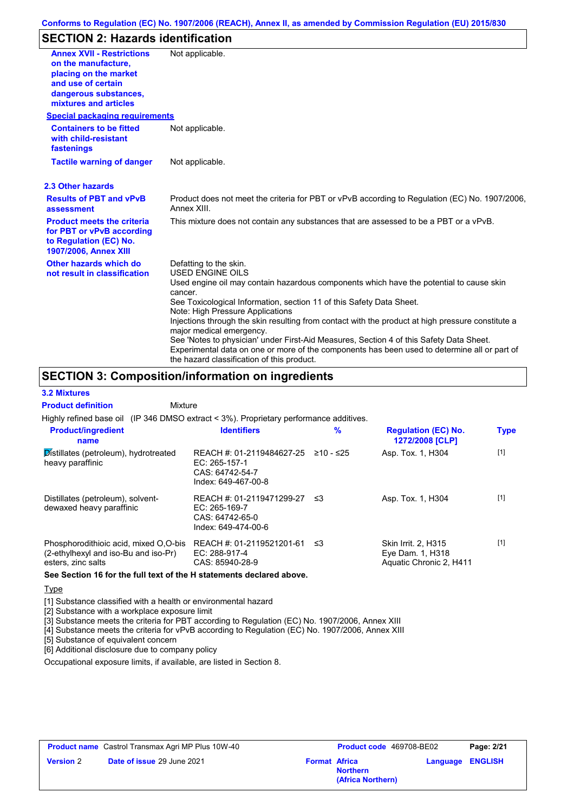## **SECTION 2: Hazards identification**

| <b>Annex XVII - Restrictions</b><br>on the manufacture.<br>placing on the market<br>and use of certain<br>dangerous substances,<br>mixtures and articles | Not applicable.                                                                                                                                                                                                                                                                                                                                                        |
|----------------------------------------------------------------------------------------------------------------------------------------------------------|------------------------------------------------------------------------------------------------------------------------------------------------------------------------------------------------------------------------------------------------------------------------------------------------------------------------------------------------------------------------|
| <b>Special packaging requirements</b>                                                                                                                    |                                                                                                                                                                                                                                                                                                                                                                        |
| <b>Containers to be fitted</b><br>with child-resistant<br>fastenings                                                                                     | Not applicable.                                                                                                                                                                                                                                                                                                                                                        |
| <b>Tactile warning of danger</b>                                                                                                                         | Not applicable.                                                                                                                                                                                                                                                                                                                                                        |
| 2.3 Other hazards                                                                                                                                        |                                                                                                                                                                                                                                                                                                                                                                        |
| <b>Results of PBT and vPvB</b><br>assessment                                                                                                             | Product does not meet the criteria for PBT or vPvB according to Regulation (EC) No. 1907/2006.<br>Annex XIII.                                                                                                                                                                                                                                                          |
| <b>Product meets the criteria</b><br>for PBT or vPvB according<br>to Regulation (EC) No.<br>1907/2006, Annex XIII                                        | This mixture does not contain any substances that are assessed to be a PBT or a vPvB.                                                                                                                                                                                                                                                                                  |
| Other hazards which do<br>not result in classification                                                                                                   | Defatting to the skin.<br><b>USED ENGINE OILS</b>                                                                                                                                                                                                                                                                                                                      |
|                                                                                                                                                          | Used engine oil may contain hazardous components which have the potential to cause skin<br>cancer.<br>See Toxicological Information, section 11 of this Safety Data Sheet.<br>Note: High Pressure Applications                                                                                                                                                         |
|                                                                                                                                                          | Injections through the skin resulting from contact with the product at high pressure constitute a<br>major medical emergency.<br>See 'Notes to physician' under First-Aid Measures, Section 4 of this Safety Data Sheet.<br>Experimental data on one or more of the components has been used to determine all or part of<br>the hazard classification of this product. |

## **SECTION 3: Composition/information on ingredients**

Mixture

### **3.2 Mixtures**

**Product definition**

Highly refined base oil (IP 346 DMSO extract < 3%). Proprietary performance additives.

| <b>Product/ingredient</b><br>name                                                                   | <b>Identifiers</b>                                                                   | $\%$      | <b>Regulation (EC) No.</b><br>1272/2008 [CLP]                      | <b>Type</b> |
|-----------------------------------------------------------------------------------------------------|--------------------------------------------------------------------------------------|-----------|--------------------------------------------------------------------|-------------|
| Distillates (petroleum), hydrotreated<br>heavy paraffinic                                           | REACH #: 01-2119484627-25<br>EC: 265-157-1<br>CAS: 64742-54-7<br>Index: 649-467-00-8 | ≥10 - ≤25 | Asp. Tox. 1, H304                                                  | $[1]$       |
| Distillates (petroleum), solvent-<br>dewaxed heavy paraffinic                                       | REACH #: 01-2119471299-27<br>EC: 265-169-7<br>CAS: 64742-65-0<br>Index: 649-474-00-6 | וי≥       | Asp. Tox. 1, H304                                                  | $[1]$       |
| Phosphorodithioic acid, mixed O,O-bis<br>(2-ethylhexyl and iso-Bu and iso-Pr)<br>esters, zinc salts | REACH #: 01-2119521201-61<br>EC: 288-917-4<br>CAS: 85940-28-9                        | ≤3        | Skin Irrit. 2, H315<br>Eye Dam. 1, H318<br>Aquatic Chronic 2, H411 | $[1]$       |

**See Section 16 for the full text of the H statements declared above.**

**Type** 

[1] Substance classified with a health or environmental hazard

[2] Substance with a workplace exposure limit

[3] Substance meets the criteria for PBT according to Regulation (EC) No. 1907/2006, Annex XIII

[4] Substance meets the criteria for vPvB according to Regulation (EC) No. 1907/2006, Annex XIII

[5] Substance of equivalent concern

[6] Additional disclosure due to company policy

Occupational exposure limits, if available, are listed in Section 8.

| <b>Product name</b> Castrol Transmax Agri MP Plus 10W-40 |                                   | <b>Product code</b> 469708-BE02 |                                      | Page: 2/21 |                         |
|----------------------------------------------------------|-----------------------------------|---------------------------------|--------------------------------------|------------|-------------------------|
| <b>Version 2</b>                                         | <b>Date of issue 29 June 2021</b> | <b>Format Africa</b>            | <b>Northern</b><br>(Africa Northern) |            | <b>Language ENGLISH</b> |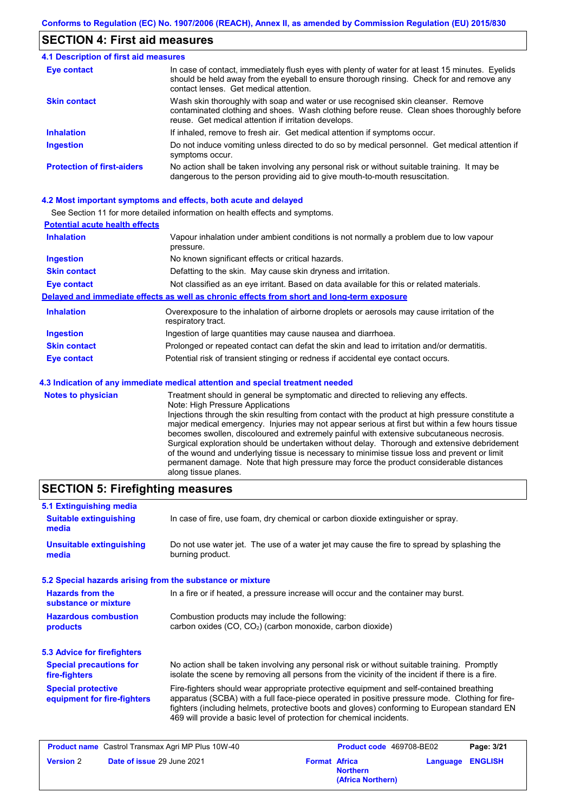## **SECTION 4: First aid measures**

### Do not induce vomiting unless directed to do so by medical personnel. Get medical attention if symptoms occur. In case of contact, immediately flush eyes with plenty of water for at least 15 minutes. Eyelids should be held away from the eyeball to ensure thorough rinsing. Check for and remove any contact lenses. Get medical attention. **4.1 Description of first aid measures** If inhaled, remove to fresh air. Get medical attention if symptoms occur. **Ingestion Inhalation Eye contact Protection of first-aiders** No action shall be taken involving any personal risk or without suitable training. It may be dangerous to the person providing aid to give mouth-to-mouth resuscitation. **Skin contact** Wash skin thoroughly with soap and water or use recognised skin cleanser. Remove contaminated clothing and shoes. Wash clothing before reuse. Clean shoes thoroughly before reuse. Get medical attention if irritation develops.

### **4.2 Most important symptoms and effects, both acute and delayed**

See Section 11 for more detailed information on health effects and symptoms.

| <b>Potential acute health effects</b> |                                                                                                                   |
|---------------------------------------|-------------------------------------------------------------------------------------------------------------------|
| <b>Inhalation</b>                     | Vapour inhalation under ambient conditions is not normally a problem due to low vapour<br>pressure.               |
| <b>Ingestion</b>                      | No known significant effects or critical hazards.                                                                 |
| <b>Skin contact</b>                   | Defatting to the skin. May cause skin dryness and irritation.                                                     |
| <b>Eye contact</b>                    | Not classified as an eye irritant. Based on data available for this or related materials.                         |
|                                       | Delayed and immediate effects as well as chronic effects from short and long-term exposure                        |
| <b>Inhalation</b>                     | Overexposure to the inhalation of airborne droplets or aerosols may cause irritation of the<br>respiratory tract. |
| <b>Ingestion</b>                      | Ingestion of large quantities may cause nausea and diarrhoea.                                                     |
| <b>Skin contact</b>                   | Prolonged or repeated contact can defat the skin and lead to irritation and/or dermatitis.                        |
| Eye contact                           | Potential risk of transient stinging or redness if accidental eye contact occurs.                                 |
|                                       | 4.3 Indication of any immediate medical attention and special treatment needed                                    |
| Notes to physician                    | Treatment should in general he symptomatic and directed to relieving any effects                                  |

**notable is to physician** Treatment should in general be symptomatic and directed to relieving any effects. Note: High Pressure Applications Injections through the skin resulting from contact with the product at high pressure constitute a major medical emergency. Injuries may not appear serious at first but within a few hours tissue becomes swollen, discoloured and extremely painful with extensive subcutaneous necrosis. Surgical exploration should be undertaken without delay. Thorough and extensive debridement of the wound and underlying tissue is necessary to minimise tissue loss and prevent or limit permanent damage. Note that high pressure may force the product considerable distances along tissue planes.

## **SECTION 5: Firefighting measures**

| In case of fire, use foam, dry chemical or carbon dioxide extinguisher or spray.                                                                                                                                                                                                                                                                                  |
|-------------------------------------------------------------------------------------------------------------------------------------------------------------------------------------------------------------------------------------------------------------------------------------------------------------------------------------------------------------------|
| Do not use water jet. The use of a water jet may cause the fire to spread by splashing the<br>burning product.                                                                                                                                                                                                                                                    |
| 5.2 Special hazards arising from the substance or mixture                                                                                                                                                                                                                                                                                                         |
| In a fire or if heated, a pressure increase will occur and the container may burst.                                                                                                                                                                                                                                                                               |
| Combustion products may include the following:<br>carbon oxides (CO, CO <sub>2</sub> ) (carbon monoxide, carbon dioxide)                                                                                                                                                                                                                                          |
|                                                                                                                                                                                                                                                                                                                                                                   |
| No action shall be taken involving any personal risk or without suitable training. Promptly<br>isolate the scene by removing all persons from the vicinity of the incident if there is a fire.                                                                                                                                                                    |
| Fire-fighters should wear appropriate protective equipment and self-contained breathing<br>apparatus (SCBA) with a full face-piece operated in positive pressure mode. Clothing for fire-<br>fighters (including helmets, protective boots and gloves) conforming to European standard EN<br>469 will provide a basic level of protection for chemical incidents. |
|                                                                                                                                                                                                                                                                                                                                                                   |

|                  | <b>Product name</b> Castrol Transmax Agri MP Plus 10W-40 |                      | <b>Product code</b> 469708-BE02      | Page: 3/21              |
|------------------|----------------------------------------------------------|----------------------|--------------------------------------|-------------------------|
| <b>Version 2</b> | <b>Date of issue 29 June 2021</b>                        | <b>Format Africa</b> | <b>Northern</b><br>(Africa Northern) | <b>Language ENGLISH</b> |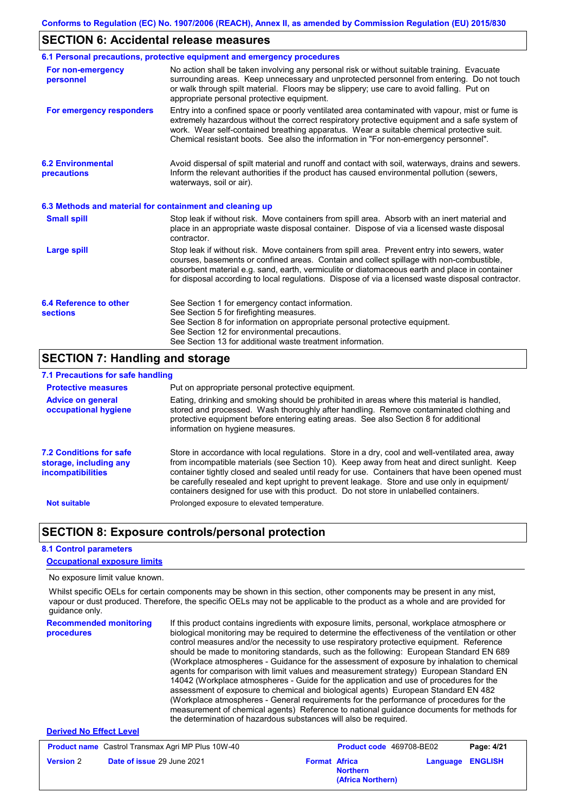## **SECTION 6: Accidental release measures**

|                                                          | 6.1 Personal precautions, protective equipment and emergency procedures                                                                                                                                                                                                                                                                                                                        |
|----------------------------------------------------------|------------------------------------------------------------------------------------------------------------------------------------------------------------------------------------------------------------------------------------------------------------------------------------------------------------------------------------------------------------------------------------------------|
| For non-emergency<br>personnel                           | No action shall be taken involving any personal risk or without suitable training. Evacuate<br>surrounding areas. Keep unnecessary and unprotected personnel from entering. Do not touch<br>or walk through spilt material. Floors may be slippery; use care to avoid falling. Put on<br>appropriate personal protective equipment.                                                            |
| For emergency responders                                 | Entry into a confined space or poorly ventilated area contaminated with vapour, mist or fume is<br>extremely hazardous without the correct respiratory protective equipment and a safe system of<br>work. Wear self-contained breathing apparatus. Wear a suitable chemical protective suit.<br>Chemical resistant boots. See also the information in "For non-emergency personnel".           |
| <b>6.2 Environmental</b><br>precautions                  | Avoid dispersal of spilt material and runoff and contact with soil, waterways, drains and sewers.<br>Inform the relevant authorities if the product has caused environmental pollution (sewers,<br>waterways, soil or air).                                                                                                                                                                    |
| 6.3 Methods and material for containment and cleaning up |                                                                                                                                                                                                                                                                                                                                                                                                |
| <b>Small spill</b>                                       | Stop leak if without risk. Move containers from spill area. Absorb with an inert material and<br>place in an appropriate waste disposal container. Dispose of via a licensed waste disposal<br>contractor.                                                                                                                                                                                     |
| <b>Large spill</b>                                       | Stop leak if without risk. Move containers from spill area. Prevent entry into sewers, water<br>courses, basements or confined areas. Contain and collect spillage with non-combustible,<br>absorbent material e.g. sand, earth, vermiculite or diatomaceous earth and place in container<br>for disposal according to local regulations. Dispose of via a licensed waste disposal contractor. |
| 6.4 Reference to other<br><b>sections</b>                | See Section 1 for emergency contact information.<br>See Section 5 for firefighting measures.<br>See Section 8 for information on appropriate personal protective equipment.<br>See Section 12 for environmental precautions.<br>See Section 13 for additional waste treatment information.                                                                                                     |

## **SECTION 7: Handling and storage**

## **7.1 Precautions for safe handling**

| <b>Protective measures</b>                                                           | Put on appropriate personal protective equipment.                                                                                                                                                                                                                                                                                                                                                                                                                                        |
|--------------------------------------------------------------------------------------|------------------------------------------------------------------------------------------------------------------------------------------------------------------------------------------------------------------------------------------------------------------------------------------------------------------------------------------------------------------------------------------------------------------------------------------------------------------------------------------|
| <b>Advice on general</b><br>occupational hygiene                                     | Eating, drinking and smoking should be prohibited in areas where this material is handled,<br>stored and processed. Wash thoroughly after handling. Remove contaminated clothing and<br>protective equipment before entering eating areas. See also Section 8 for additional<br>information on hygiene measures.                                                                                                                                                                         |
| <b>7.2 Conditions for safe</b><br>storage, including any<br><i>incompatibilities</i> | Store in accordance with local regulations. Store in a dry, cool and well-ventilated area, away<br>from incompatible materials (see Section 10). Keep away from heat and direct sunlight. Keep<br>container tightly closed and sealed until ready for use. Containers that have been opened must<br>be carefully resealed and kept upright to prevent leakage. Store and use only in equipment/<br>containers designed for use with this product. Do not store in unlabelled containers. |
| <b>Not suitable</b>                                                                  | Prolonged exposure to elevated temperature.                                                                                                                                                                                                                                                                                                                                                                                                                                              |

## **SECTION 8: Exposure controls/personal protection**

### **8.1 Control parameters**

**Version** 2

### **Occupational exposure limits**

No exposure limit value known.

**Recommended monitoring procedures** If this product contains ingredients with exposure limits, personal, workplace atmosphere or biological monitoring may be required to determine the effectiveness of the ventilation or other control measures and/or the necessity to use respiratory protective equipment. Reference should be made to monitoring standards, such as the following: European Standard EN 689 (Workplace atmospheres - Guidance for the assessment of exposure by inhalation to chemical agents for comparison with limit values and measurement strategy) European Standard EN 14042 (Workplace atmospheres - Guide for the application and use of procedures for the assessment of exposure to chemical and biological agents) European Standard EN 482 (Workplace atmospheres - General requirements for the performance of procedures for the measurement of chemical agents) Reference to national guidance documents for methods for the determination of hazardous substances will also be required. **Derived No Effect Level** Whilst specific OELs for certain components may be shown in this section, other components may be present in any mist, vapour or dust produced. Therefore, the specific OELs may not be applicable to the product as a whole and are provided for guidance only. **Product name** Castrol Transmax Agri MP Plus 10W-40 **Product code** 469708-BE02 **Page: 4/21** 

**Northern**

**(Africa Northern)**

**Language ENGLISH**

**Date of issue** 29 June 2021 **Format Africa**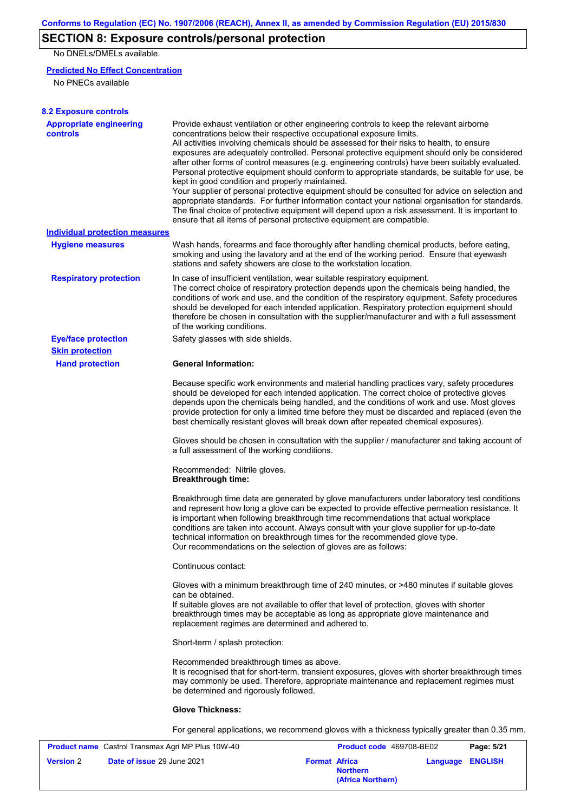## **SECTION 8: Exposure controls/personal protection**

No DNELs/DMELs available.

### **Predicted No Effect Concentration**

No PNECs available

| <b>8.2 Exposure controls</b>                      |                                                                                                                                                                                                                                                                                                                                                                                                                                                                                                                                                                                                                                                                                                                                                                                                                                                                                                                                                                                                         |
|---------------------------------------------------|---------------------------------------------------------------------------------------------------------------------------------------------------------------------------------------------------------------------------------------------------------------------------------------------------------------------------------------------------------------------------------------------------------------------------------------------------------------------------------------------------------------------------------------------------------------------------------------------------------------------------------------------------------------------------------------------------------------------------------------------------------------------------------------------------------------------------------------------------------------------------------------------------------------------------------------------------------------------------------------------------------|
| <b>Appropriate engineering</b><br><b>controls</b> | Provide exhaust ventilation or other engineering controls to keep the relevant airborne<br>concentrations below their respective occupational exposure limits.<br>All activities involving chemicals should be assessed for their risks to health, to ensure<br>exposures are adequately controlled. Personal protective equipment should only be considered<br>after other forms of control measures (e.g. engineering controls) have been suitably evaluated.<br>Personal protective equipment should conform to appropriate standards, be suitable for use, be<br>kept in good condition and properly maintained.<br>Your supplier of personal protective equipment should be consulted for advice on selection and<br>appropriate standards. For further information contact your national organisation for standards.<br>The final choice of protective equipment will depend upon a risk assessment. It is important to<br>ensure that all items of personal protective equipment are compatible. |
| Individual protection measures                    |                                                                                                                                                                                                                                                                                                                                                                                                                                                                                                                                                                                                                                                                                                                                                                                                                                                                                                                                                                                                         |
| <b>Hygiene measures</b>                           | Wash hands, forearms and face thoroughly after handling chemical products, before eating,<br>smoking and using the lavatory and at the end of the working period. Ensure that eyewash<br>stations and safety showers are close to the workstation location.                                                                                                                                                                                                                                                                                                                                                                                                                                                                                                                                                                                                                                                                                                                                             |
| <b>Respiratory protection</b>                     | In case of insufficient ventilation, wear suitable respiratory equipment.<br>The correct choice of respiratory protection depends upon the chemicals being handled, the<br>conditions of work and use, and the condition of the respiratory equipment. Safety procedures<br>should be developed for each intended application. Respiratory protection equipment should<br>therefore be chosen in consultation with the supplier/manufacturer and with a full assessment<br>of the working conditions.                                                                                                                                                                                                                                                                                                                                                                                                                                                                                                   |
| <b>Eye/face protection</b>                        | Safety glasses with side shields.                                                                                                                                                                                                                                                                                                                                                                                                                                                                                                                                                                                                                                                                                                                                                                                                                                                                                                                                                                       |
| <b>Skin protection</b>                            |                                                                                                                                                                                                                                                                                                                                                                                                                                                                                                                                                                                                                                                                                                                                                                                                                                                                                                                                                                                                         |
| <b>Hand protection</b>                            | <b>General Information:</b>                                                                                                                                                                                                                                                                                                                                                                                                                                                                                                                                                                                                                                                                                                                                                                                                                                                                                                                                                                             |
|                                                   | Because specific work environments and material handling practices vary, safety procedures<br>should be developed for each intended application. The correct choice of protective gloves<br>depends upon the chemicals being handled, and the conditions of work and use. Most gloves<br>provide protection for only a limited time before they must be discarded and replaced (even the<br>best chemically resistant gloves will break down after repeated chemical exposures).                                                                                                                                                                                                                                                                                                                                                                                                                                                                                                                        |
|                                                   | Gloves should be chosen in consultation with the supplier / manufacturer and taking account of<br>a full assessment of the working conditions.                                                                                                                                                                                                                                                                                                                                                                                                                                                                                                                                                                                                                                                                                                                                                                                                                                                          |
|                                                   | Recommended: Nitrile gloves.<br><b>Breakthrough time:</b>                                                                                                                                                                                                                                                                                                                                                                                                                                                                                                                                                                                                                                                                                                                                                                                                                                                                                                                                               |
|                                                   | Breakthrough time data are generated by glove manufacturers under laboratory test conditions<br>and represent how long a glove can be expected to provide effective permeation resistance. It<br>is important when following breakthrough time recommendations that actual workplace<br>conditions are taken into account. Always consult with your glove supplier for up-to-date<br>technical information on breakthrough times for the recommended glove type.<br>Our recommendations on the selection of gloves are as follows:                                                                                                                                                                                                                                                                                                                                                                                                                                                                      |
|                                                   | Continuous contact:                                                                                                                                                                                                                                                                                                                                                                                                                                                                                                                                                                                                                                                                                                                                                                                                                                                                                                                                                                                     |
|                                                   | Gloves with a minimum breakthrough time of 240 minutes, or >480 minutes if suitable gloves<br>can be obtained.<br>If suitable gloves are not available to offer that level of protection, gloves with shorter<br>breakthrough times may be acceptable as long as appropriate glove maintenance and<br>replacement regimes are determined and adhered to.                                                                                                                                                                                                                                                                                                                                                                                                                                                                                                                                                                                                                                                |
|                                                   | Short-term / splash protection:                                                                                                                                                                                                                                                                                                                                                                                                                                                                                                                                                                                                                                                                                                                                                                                                                                                                                                                                                                         |
|                                                   | Recommended breakthrough times as above.<br>It is recognised that for short-term, transient exposures, gloves with shorter breakthrough times<br>may commonly be used. Therefore, appropriate maintenance and replacement regimes must<br>be determined and rigorously followed.                                                                                                                                                                                                                                                                                                                                                                                                                                                                                                                                                                                                                                                                                                                        |
|                                                   | <b>Glove Thickness:</b>                                                                                                                                                                                                                                                                                                                                                                                                                                                                                                                                                                                                                                                                                                                                                                                                                                                                                                                                                                                 |
|                                                   | For general applications, we recommend gloves with a thickness typically greater than 0.35 mm.                                                                                                                                                                                                                                                                                                                                                                                                                                                                                                                                                                                                                                                                                                                                                                                                                                                                                                          |
|                                                   | $A$ and $A$ $A$ 0700 DE03<br>Tronomov Agri MD Dlug 10W 40<br><b>Dogo: E/24</b>                                                                                                                                                                                                                                                                                                                                                                                                                                                                                                                                                                                                                                                                                                                                                                                                                                                                                                                          |

| <b>Product name</b> Castrol Transmax Agri MP Plus 10W-40 |                                   | <b>Product code</b> 469708-BE02 |                                      | Page: 5/21              |  |
|----------------------------------------------------------|-----------------------------------|---------------------------------|--------------------------------------|-------------------------|--|
| <b>Version 2</b>                                         | <b>Date of issue 29 June 2021</b> | <b>Format Africa</b>            | <b>Northern</b><br>(Africa Northern) | <b>Language ENGLISH</b> |  |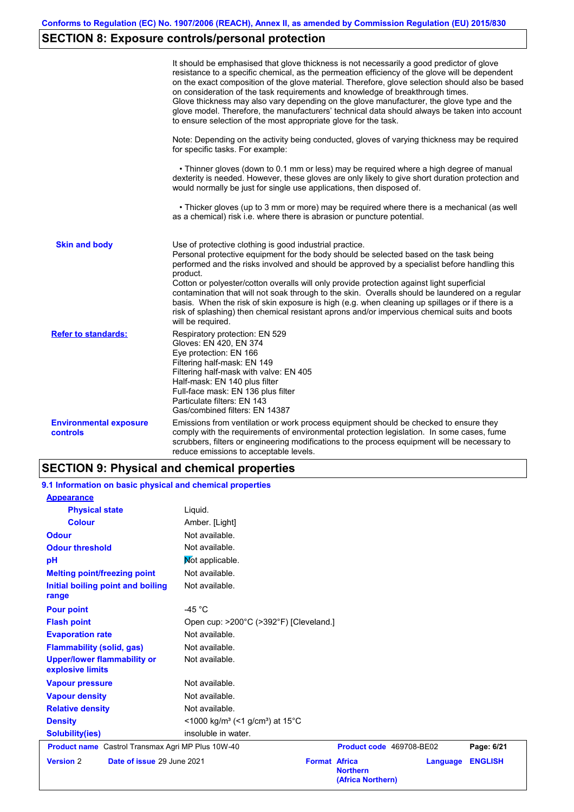# **SECTION 8: Exposure controls/personal protection**

|                                           | It should be emphasised that glove thickness is not necessarily a good predictor of glove<br>resistance to a specific chemical, as the permeation efficiency of the glove will be dependent<br>on the exact composition of the glove material. Therefore, glove selection should also be based<br>on consideration of the task requirements and knowledge of breakthrough times.<br>Glove thickness may also vary depending on the glove manufacturer, the glove type and the<br>glove model. Therefore, the manufacturers' technical data should always be taken into account<br>to ensure selection of the most appropriate glove for the task.                                     |  |  |  |  |
|-------------------------------------------|---------------------------------------------------------------------------------------------------------------------------------------------------------------------------------------------------------------------------------------------------------------------------------------------------------------------------------------------------------------------------------------------------------------------------------------------------------------------------------------------------------------------------------------------------------------------------------------------------------------------------------------------------------------------------------------|--|--|--|--|
|                                           | Note: Depending on the activity being conducted, gloves of varying thickness may be required<br>for specific tasks. For example:                                                                                                                                                                                                                                                                                                                                                                                                                                                                                                                                                      |  |  |  |  |
|                                           | • Thinner gloves (down to 0.1 mm or less) may be required where a high degree of manual<br>dexterity is needed. However, these gloves are only likely to give short duration protection and<br>would normally be just for single use applications, then disposed of.                                                                                                                                                                                                                                                                                                                                                                                                                  |  |  |  |  |
|                                           | • Thicker gloves (up to 3 mm or more) may be required where there is a mechanical (as well<br>as a chemical) risk i.e. where there is abrasion or puncture potential.                                                                                                                                                                                                                                                                                                                                                                                                                                                                                                                 |  |  |  |  |
| <b>Skin and body</b>                      | Use of protective clothing is good industrial practice.<br>Personal protective equipment for the body should be selected based on the task being<br>performed and the risks involved and should be approved by a specialist before handling this<br>product.<br>Cotton or polyester/cotton overalls will only provide protection against light superficial<br>contamination that will not soak through to the skin. Overalls should be laundered on a regular<br>basis. When the risk of skin exposure is high (e.g. when cleaning up spillages or if there is a<br>risk of splashing) then chemical resistant aprons and/or impervious chemical suits and boots<br>will be required. |  |  |  |  |
| <b>Refer to standards:</b>                | Respiratory protection: EN 529<br>Gloves: EN 420, EN 374<br>Eye protection: EN 166<br>Filtering half-mask: EN 149<br>Filtering half-mask with valve: EN 405<br>Half-mask: EN 140 plus filter<br>Full-face mask: EN 136 plus filter<br>Particulate filters: EN 143<br>Gas/combined filters: EN 14387                                                                                                                                                                                                                                                                                                                                                                                   |  |  |  |  |
| <b>Environmental exposure</b><br>controls | Emissions from ventilation or work process equipment should be checked to ensure they<br>comply with the requirements of environmental protection legislation. In some cases, fume<br>scrubbers, filters or engineering modifications to the process equipment will be necessary to<br>reduce emissions to acceptable levels.                                                                                                                                                                                                                                                                                                                                                         |  |  |  |  |

# **SECTION 9: Physical and chemical properties**

| 9.1 Information on basic physical and chemical properties |                                                                      |                                                              |                 |                |
|-----------------------------------------------------------|----------------------------------------------------------------------|--------------------------------------------------------------|-----------------|----------------|
| <b>Appearance</b>                                         |                                                                      |                                                              |                 |                |
| <b>Physical state</b>                                     | Liquid.                                                              |                                                              |                 |                |
| <b>Colour</b>                                             | Amber. [Light]                                                       |                                                              |                 |                |
| <b>Odour</b>                                              | Not available.                                                       |                                                              |                 |                |
| <b>Odour threshold</b>                                    | Not available.                                                       |                                                              |                 |                |
| pH                                                        | Not applicable.                                                      |                                                              |                 |                |
| <b>Melting point/freezing point</b>                       | Not available.                                                       |                                                              |                 |                |
| Initial boiling point and boiling<br>range                | Not available.                                                       |                                                              |                 |                |
| <b>Pour point</b>                                         | -45 $^{\circ}$ C                                                     |                                                              |                 |                |
| <b>Flash point</b>                                        | Open cup: >200°C (>392°F) [Cleveland.]                               |                                                              |                 |                |
| <b>Evaporation rate</b>                                   | Not available.                                                       |                                                              |                 |                |
| <b>Flammability (solid, gas)</b>                          | Not available.                                                       |                                                              |                 |                |
| <b>Upper/lower flammability or</b><br>explosive limits    | Not available.                                                       |                                                              |                 |                |
| <b>Vapour pressure</b>                                    | Not available.                                                       |                                                              |                 |                |
| <b>Vapour density</b>                                     | Not available.                                                       |                                                              |                 |                |
| <b>Relative density</b>                                   | Not available.                                                       |                                                              |                 |                |
| <b>Density</b>                                            | <1000 kg/m <sup>3</sup> (<1 g/cm <sup>3</sup> ) at 15 <sup>°</sup> C |                                                              |                 |                |
| <b>Solubility(ies)</b>                                    | insoluble in water.                                                  |                                                              |                 |                |
| <b>Product name</b> Castrol Transmax Agri MP Plus 10W-40  |                                                                      | Product code 469708-BE02                                     |                 | Page: 6/21     |
| Date of issue 29 June 2021<br><b>Version 2</b>            |                                                                      | <b>Format Africa</b><br><b>Northern</b><br>(Africa Northern) | <b>Language</b> | <b>ENGLISH</b> |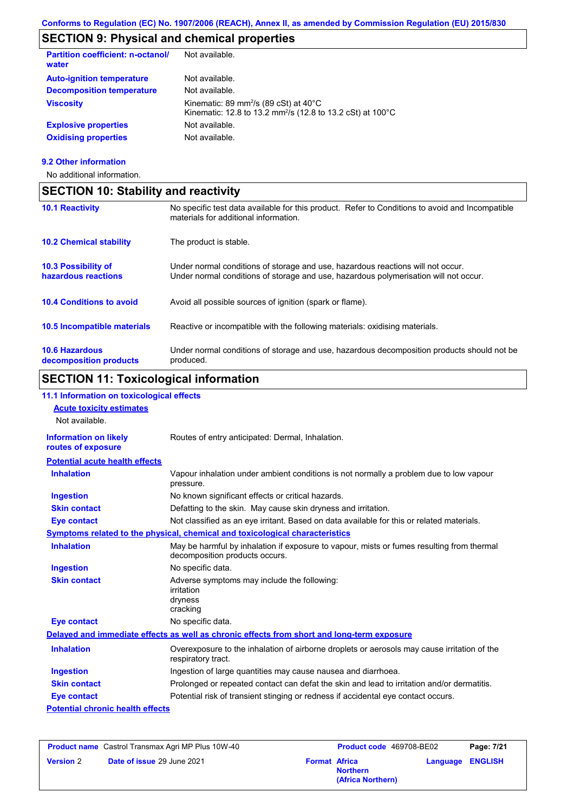## **SECTION 9: Physical and chemical properties**

| <b>Partition coefficient: n-octanol/</b><br>water | Not available.                                                                                                                                     |
|---------------------------------------------------|----------------------------------------------------------------------------------------------------------------------------------------------------|
| <b>Auto-ignition temperature</b>                  | Not available.                                                                                                                                     |
| <b>Decomposition temperature</b>                  | Not available.                                                                                                                                     |
| <b>Viscosity</b>                                  | Kinematic: 89 mm <sup>2</sup> /s (89 cSt) at $40^{\circ}$ C<br>Kinematic: 12.8 to 13.2 mm <sup>2</sup> /s (12.8 to 13.2 cSt) at 100 <sup>°</sup> C |
| <b>Explosive properties</b>                       | Not available.                                                                                                                                     |
| <b>Oxidising properties</b>                       | Not available.                                                                                                                                     |
|                                                   |                                                                                                                                                    |

### **9.2 Other information**

No additional information.

| <b>SECTION 10: Stability and reactivity</b>       |                                                                                                                                                                         |  |  |  |
|---------------------------------------------------|-------------------------------------------------------------------------------------------------------------------------------------------------------------------------|--|--|--|
| <b>10.1 Reactivity</b>                            | No specific test data available for this product. Refer to Conditions to avoid and Incompatible<br>materials for additional information.                                |  |  |  |
| <b>10.2 Chemical stability</b>                    | The product is stable.                                                                                                                                                  |  |  |  |
| <b>10.3 Possibility of</b><br>hazardous reactions | Under normal conditions of storage and use, hazardous reactions will not occur.<br>Under normal conditions of storage and use, hazardous polymerisation will not occur. |  |  |  |
| <b>10.4 Conditions to avoid</b>                   | Avoid all possible sources of ignition (spark or flame).                                                                                                                |  |  |  |
| 10.5 Incompatible materials                       | Reactive or incompatible with the following materials: oxidising materials.                                                                                             |  |  |  |
| <b>10.6 Hazardous</b><br>decomposition products   | Under normal conditions of storage and use, hazardous decomposition products should not be<br>produced.                                                                 |  |  |  |

# **SECTION 11: Toxicological information**

| 11.1 Information on toxicological effects          |                                                                                                                             |
|----------------------------------------------------|-----------------------------------------------------------------------------------------------------------------------------|
| <b>Acute toxicity estimates</b>                    |                                                                                                                             |
| Not available.                                     |                                                                                                                             |
| <b>Information on likely</b><br>routes of exposure | Routes of entry anticipated: Dermal, Inhalation.                                                                            |
| <b>Potential acute health effects</b>              |                                                                                                                             |
| <b>Inhalation</b>                                  | Vapour inhalation under ambient conditions is not normally a problem due to low vapour<br>pressure.                         |
| <b>Ingestion</b>                                   | No known significant effects or critical hazards.                                                                           |
| <b>Skin contact</b>                                | Defatting to the skin. May cause skin dryness and irritation.                                                               |
| <b>Eye contact</b>                                 | Not classified as an eye irritant. Based on data available for this or related materials.                                   |
|                                                    | Symptoms related to the physical, chemical and toxicological characteristics                                                |
| <b>Inhalation</b>                                  | May be harmful by inhalation if exposure to vapour, mists or fumes resulting from thermal<br>decomposition products occurs. |
| <b>Ingestion</b>                                   | No specific data.                                                                                                           |
| <b>Skin contact</b>                                | Adverse symptoms may include the following:<br>irritation<br>dryness<br>cracking                                            |
| <b>Eye contact</b>                                 | No specific data.                                                                                                           |
|                                                    | Delayed and immediate effects as well as chronic effects from short and long-term exposure                                  |
| <b>Inhalation</b>                                  | Overexposure to the inhalation of airborne droplets or aerosols may cause irritation of the<br>respiratory tract.           |
| <b>Ingestion</b>                                   | Ingestion of large quantities may cause nausea and diarrhoea.                                                               |
| <b>Skin contact</b>                                | Prolonged or repeated contact can defat the skin and lead to irritation and/or dermatitis.                                  |
| <b>Eye contact</b>                                 | Potential risk of transient stinging or redness if accidental eye contact occurs.                                           |
| <b>Potential chronic health effects</b>            |                                                                                                                             |

| <b>Product name</b> Castrol Transmax Agri MP Plus 10W-40 |                                   | <b>Product code</b> 469708-BE02 |                                      | Page: 7/21              |  |
|----------------------------------------------------------|-----------------------------------|---------------------------------|--------------------------------------|-------------------------|--|
| <b>Version 2</b>                                         | <b>Date of issue 29 June 2021</b> | <b>Format Africa</b>            | <b>Northern</b><br>(Africa Northern) | <b>Language ENGLISH</b> |  |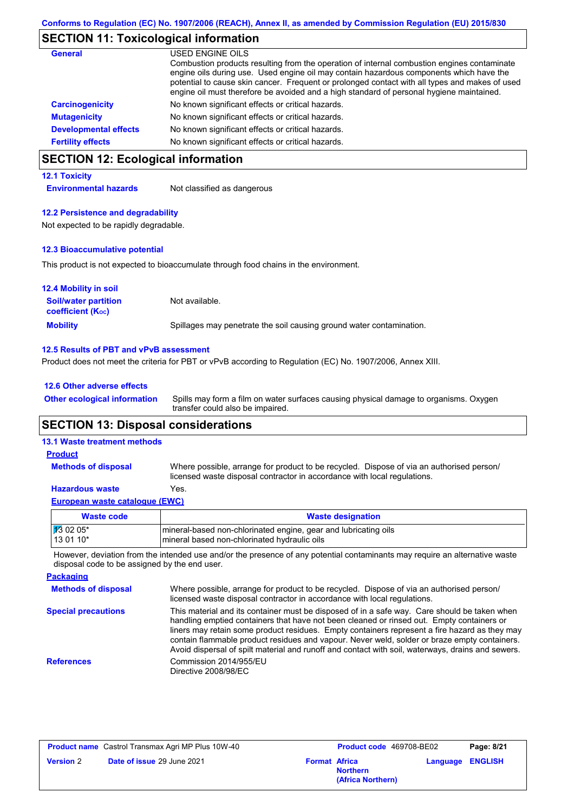## **SECTION 11: Toxicological information**

| <b>General</b>               | USED ENGINE OILS                                                                                                                                                                           |
|------------------------------|--------------------------------------------------------------------------------------------------------------------------------------------------------------------------------------------|
|                              | Combustion products resulting from the operation of internal combustion engines contaminate<br>engine oils during use. Used engine oil may contain hazardous components which have the     |
|                              | potential to cause skin cancer. Frequent or prolonged contact with all types and makes of used<br>engine oil must therefore be avoided and a high standard of personal hygiene maintained. |
| <b>Carcinogenicity</b>       | No known significant effects or critical hazards.                                                                                                                                          |
| <b>Mutagenicity</b>          | No known significant effects or critical hazards.                                                                                                                                          |
| <b>Developmental effects</b> | No known significant effects or critical hazards.                                                                                                                                          |
| <b>Fertility effects</b>     | No known significant effects or critical hazards.                                                                                                                                          |

## **SECTION 12: Ecological information**

### **12.1 Toxicity**

**Environmental hazards** Not classified as dangerous

### **12.2 Persistence and degradability**

Not expected to be rapidly degradable.

### **12.3 Bioaccumulative potential**

This product is not expected to bioaccumulate through food chains in the environment.

| <b>12.4 Mobility in soil</b>                                  |                                                                      |
|---------------------------------------------------------------|----------------------------------------------------------------------|
| <b>Soil/water partition</b><br>coefficient (K <sub>oc</sub> ) | Not available.                                                       |
| <b>Mobility</b>                                               | Spillages may penetrate the soil causing ground water contamination. |

### **12.5 Results of PBT and vPvB assessment**

Product does not meet the criteria for PBT or vPvB according to Regulation (EC) No. 1907/2006, Annex XIII.

### **12.6 Other adverse effects**

**Other ecological information**

Spills may form a film on water surfaces causing physical damage to organisms. Oxygen transfer could also be impaired.

## **SECTION 13: Disposal considerations**

### **13.1 Waste treatment methods**

**Methods of disposal**

### **Product**

Where possible, arrange for product to be recycled. Dispose of via an authorised person/ licensed waste disposal contractor in accordance with local regulations.

### **Hazardous waste** Yes.

### **European waste catalogue (EWC)**

| Waste code           | <b>Waste designation</b>                                        |
|----------------------|-----------------------------------------------------------------|
| $\frac{1}{3}$ 02 05* | mineral-based non-chlorinated engine, gear and lubricating oils |
| $130110*$            | mineral based non-chlorinated hydraulic oils                    |

However, deviation from the intended use and/or the presence of any potential contaminants may require an alternative waste disposal code to be assigned by the end user.

| <b>Packaging</b>           |                                                                                                                                                                                                                                                                                                                                                                                                                                                                                                 |
|----------------------------|-------------------------------------------------------------------------------------------------------------------------------------------------------------------------------------------------------------------------------------------------------------------------------------------------------------------------------------------------------------------------------------------------------------------------------------------------------------------------------------------------|
| <b>Methods of disposal</b> | Where possible, arrange for product to be recycled. Dispose of via an authorised person/<br>licensed waste disposal contractor in accordance with local regulations.                                                                                                                                                                                                                                                                                                                            |
| <b>Special precautions</b> | This material and its container must be disposed of in a safe way. Care should be taken when<br>handling emptied containers that have not been cleaned or rinsed out. Empty containers or<br>liners may retain some product residues. Empty containers represent a fire hazard as they may<br>contain flammable product residues and vapour. Never weld, solder or braze empty containers.<br>Avoid dispersal of spilt material and runoff and contact with soil, waterways, drains and sewers. |
| <b>References</b>          | Commission 2014/955/EU<br>Directive 2008/98/EC                                                                                                                                                                                                                                                                                                                                                                                                                                                  |

| <b>Product name</b> Castrol Transmax Agri MP Plus 10W-40 |                                   | <b>Product code</b> 469708-BE02 |                                      | Page: 8/21              |  |
|----------------------------------------------------------|-----------------------------------|---------------------------------|--------------------------------------|-------------------------|--|
| <b>Version 2</b>                                         | <b>Date of issue 29 June 2021</b> | <b>Format Africa</b>            | <b>Northern</b><br>(Africa Northern) | <b>Language ENGLISH</b> |  |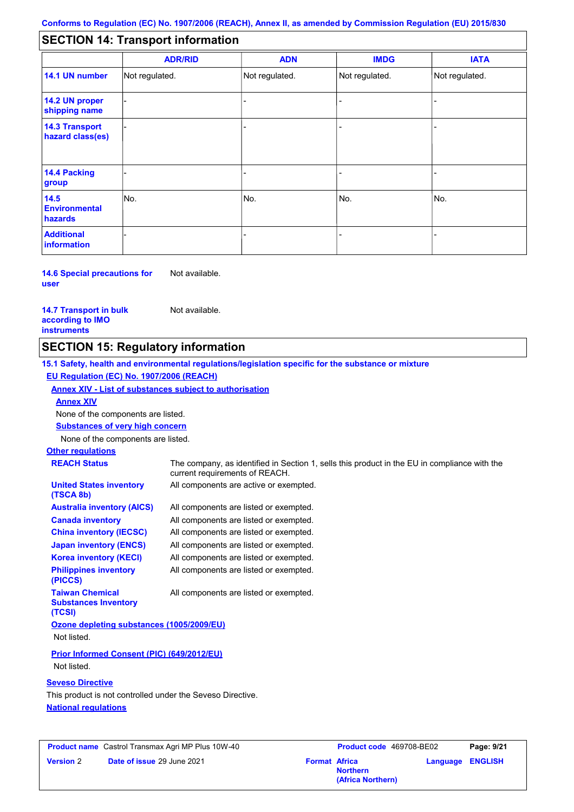#### - - - - - - - - - Not regulated. Not regulated. Not regulated. - - - **SECTION 14: Transport information ADR/RID IMDG IATA 14.1 UN number 14.2 UN proper shipping name 14.3 Transport hazard class(es) 14.4 Packing group ADN Additional information 14.5 Environmental hazards** No. 1980 | No. 1980 | No. 1980 | No. 1980 | No. 1980 | No. 1980 | No. 1980 | No. 1980 | No. 1980 | No. 1980 | Not regulated. - No. - -

#### **14.6 Special precautions for user** Not available.

### **14.7 Transport in bulk according to IMO instruments**

Not available.

## **SECTION 15: Regulatory information**

**15.1 Safety, health and environmental regulations/legislation specific for the substance or mixture EU Regulation (EC) No. 1907/2006 (REACH)**

**Annex XIV - List of substances subject to authorisation**

**Annex XIV**

None of the components are listed.

**Substances of very high concern**

None of the components are listed.

## **Other regulations**

| <b>REACH Status</b>                                              | The company, as identified in Section 1, sells this product in the EU in compliance with the<br>current requirements of REACH. |
|------------------------------------------------------------------|--------------------------------------------------------------------------------------------------------------------------------|
| <b>United States inventory</b><br>(TSCA 8b)                      | All components are active or exempted.                                                                                         |
| <b>Australia inventory (AICS)</b>                                | All components are listed or exempted.                                                                                         |
| <b>Canada inventory</b>                                          | All components are listed or exempted.                                                                                         |
| <b>China inventory (IECSC)</b>                                   | All components are listed or exempted.                                                                                         |
| <b>Japan inventory (ENCS)</b>                                    | All components are listed or exempted.                                                                                         |
| <b>Korea inventory (KECI)</b>                                    | All components are listed or exempted.                                                                                         |
| <b>Philippines inventory</b><br>(PICCS)                          | All components are listed or exempted.                                                                                         |
| <b>Taiwan Chemical</b><br><b>Substances Inventory</b><br>(TCSI)  | All components are listed or exempted.                                                                                         |
| Ozone depleting substances (1005/2009/EU)                        |                                                                                                                                |
| Not listed.                                                      |                                                                                                                                |
| <b>Prior Informed Consent (PIC) (649/2012/EU)</b><br>Not listed. |                                                                                                                                |

## **Seveso Directive**

**National regulations** This product is not controlled under the Seveso Directive.

|                  | <b>Product name</b> Castrol Transmax Agri MP Plus 10W-40 |                      | <b>Product code</b> 469708-BE02      |                         | Page: 9/21 |
|------------------|----------------------------------------------------------|----------------------|--------------------------------------|-------------------------|------------|
| <b>Version 2</b> | <b>Date of issue 29 June 2021</b>                        | <b>Format Africa</b> | <b>Northern</b><br>(Africa Northern) | <b>Language ENGLISH</b> |            |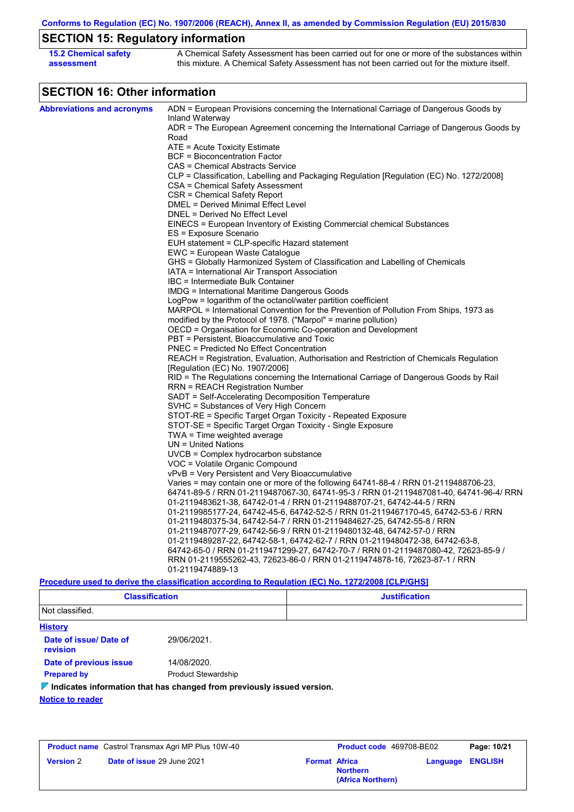**Conforms to Regulation (EC) No. 1907/2006 (REACH), Annex II, as amended by Commission Regulation (EU) 2015/830**

## **SECTION 15: Regulatory information**

| <b>15.2 Chemical safety</b> | A Chemical Safety Assessment has been carried out for one or more of the substances within  |
|-----------------------------|---------------------------------------------------------------------------------------------|
| assessment                  | this mixture. A Chemical Safety Assessment has not been carried out for the mixture itself. |

## **SECTION 16: Other information**

| <b>Abbreviations and acronyms</b> | ADN = European Provisions concerning the International Carriage of Dangerous Goods by                                                          |
|-----------------------------------|------------------------------------------------------------------------------------------------------------------------------------------------|
|                                   | Inland Waterway<br>ADR = The European Agreement concerning the International Carriage of Dangerous Goods by                                    |
|                                   | Road                                                                                                                                           |
|                                   | ATE = Acute Toxicity Estimate                                                                                                                  |
|                                   | <b>BCF</b> = Bioconcentration Factor                                                                                                           |
|                                   | CAS = Chemical Abstracts Service                                                                                                               |
|                                   | CLP = Classification, Labelling and Packaging Regulation [Regulation (EC) No. 1272/2008]                                                       |
|                                   | CSA = Chemical Safety Assessment                                                                                                               |
|                                   | CSR = Chemical Safety Report                                                                                                                   |
|                                   | DMEL = Derived Minimal Effect Level                                                                                                            |
|                                   | DNEL = Derived No Effect Level                                                                                                                 |
|                                   | EINECS = European Inventory of Existing Commercial chemical Substances                                                                         |
|                                   | ES = Exposure Scenario                                                                                                                         |
|                                   | EUH statement = CLP-specific Hazard statement                                                                                                  |
|                                   | EWC = European Waste Catalogue                                                                                                                 |
|                                   | GHS = Globally Harmonized System of Classification and Labelling of Chemicals                                                                  |
|                                   | IATA = International Air Transport Association<br>IBC = Intermediate Bulk Container                                                            |
|                                   | IMDG = International Maritime Dangerous Goods                                                                                                  |
|                                   | LogPow = logarithm of the octanol/water partition coefficient                                                                                  |
|                                   | MARPOL = International Convention for the Prevention of Pollution From Ships, 1973 as                                                          |
|                                   | modified by the Protocol of 1978. ("Marpol" = marine pollution)                                                                                |
|                                   | OECD = Organisation for Economic Co-operation and Development                                                                                  |
|                                   | PBT = Persistent, Bioaccumulative and Toxic                                                                                                    |
|                                   | <b>PNEC = Predicted No Effect Concentration</b>                                                                                                |
|                                   | REACH = Registration, Evaluation, Authorisation and Restriction of Chemicals Regulation                                                        |
|                                   | [Regulation (EC) No. 1907/2006]                                                                                                                |
|                                   | RID = The Regulations concerning the International Carriage of Dangerous Goods by Rail                                                         |
|                                   | <b>RRN = REACH Registration Number</b>                                                                                                         |
|                                   | SADT = Self-Accelerating Decomposition Temperature                                                                                             |
|                                   | SVHC = Substances of Very High Concern                                                                                                         |
|                                   | STOT-RE = Specific Target Organ Toxicity - Repeated Exposure                                                                                   |
|                                   | STOT-SE = Specific Target Organ Toxicity - Single Exposure                                                                                     |
|                                   | TWA = Time weighted average                                                                                                                    |
|                                   | $UN = United Nations$                                                                                                                          |
|                                   | $UVCB = Complex\;hydrocarbon\; substance$                                                                                                      |
|                                   | VOC = Volatile Organic Compound                                                                                                                |
|                                   | vPvB = Very Persistent and Very Bioaccumulative                                                                                                |
|                                   | Varies = may contain one or more of the following 64741-88-4 / RRN 01-2119488706-23,                                                           |
|                                   | 64741-89-5 / RRN 01-2119487067-30, 64741-95-3 / RRN 01-2119487081-40, 64741-96-4/ RRN                                                          |
|                                   | 01-2119483621-38, 64742-01-4 / RRN 01-2119488707-21, 64742-44-5 / RRN                                                                          |
|                                   | 01-2119985177-24, 64742-45-6, 64742-52-5 / RRN 01-2119467170-45, 64742-53-6 / RRN                                                              |
|                                   | 01-2119480375-34, 64742-54-7 / RRN 01-2119484627-25, 64742-55-8 / RRN<br>01-2119487077-29, 64742-56-9 / RRN 01-2119480132-48, 64742-57-0 / RRN |
|                                   | 01-2119489287-22, 64742-58-1, 64742-62-7 / RRN 01-2119480472-38, 64742-63-8,                                                                   |
|                                   | 64742-65-0 / RRN 01-2119471299-27, 64742-70-7 / RRN 01-2119487080-42, 72623-85-9 /                                                             |
|                                   | RRN 01-2119555262-43, 72623-86-0 / RRN 01-2119474878-16, 72623-87-1 / RRN                                                                      |
|                                   | 01-2119474889-13                                                                                                                               |
|                                   | Procedure used to derive the classification according to Regulation (EC) No. 1272/2008 [CLP/GHS]                                               |

| <b>Classification</b> | <b>Justification</b> |
|-----------------------|----------------------|
| Not classified.       |                      |

| <b>History</b>                     |                                                                                     |
|------------------------------------|-------------------------------------------------------------------------------------|
| Date of issue/ Date of<br>revision | 29/06/2021.                                                                         |
| Date of previous issue             | 14/08/2020.                                                                         |
| <b>Prepared by</b>                 | <b>Product Stewardship</b>                                                          |
|                                    | $\mathcal V$ Indicates information that has changed from previously issued version. |
| <b>Notice to reader</b>            |                                                                                     |

| <b>Product name</b> Castrol Transmax Agri MP Plus 10W-40 |                            |                      | <b>Product code</b> 469708-BE02      | Page: 10/21 |                         |
|----------------------------------------------------------|----------------------------|----------------------|--------------------------------------|-------------|-------------------------|
| <b>Version 2</b>                                         | Date of issue 29 June 2021 | <b>Format Africa</b> | <b>Northern</b><br>(Africa Northern) |             | <b>Language ENGLISH</b> |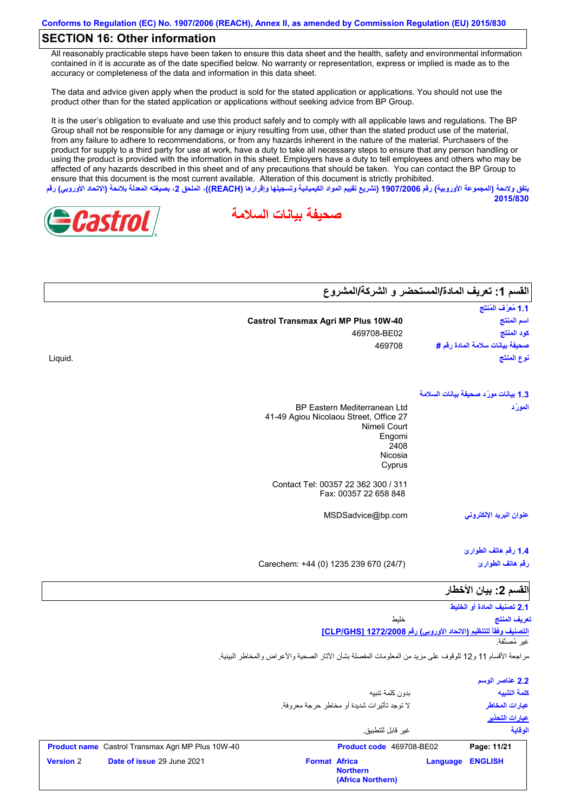## **SECTION 16: Other information**

All reasonably practicable steps have been taken to ensure this data sheet and the health, safety and environmental information contained in it is accurate as of the date specified below. No warranty or representation, express or implied is made as to the accuracy or completeness of the data and information in this data sheet.

The data and advice given apply when the product is sold for the stated application or applications. You should not use the product other than for the stated application or applications without seeking advice from BP Group.

It is the user's obligation to evaluate and use this product safely and to comply with all applicable laws and regulations. The BP Group shall not be responsible for any damage or injury resulting from use, other than the stated product use of the material, from any failure to adhere to recommendations, or from any hazards inherent in the nature of the material. Purchasers of the product for supply to a third party for use at work, have a duty to take all necessary steps to ensure that any person handling or using the product is provided with the information in this sheet. Employers have a duty to tell employees and others who may be affected of any hazards described in this sheet and of any precautions that should be taken. You can contact the BP Group to ensure that this document is the most current available. Alteration of this document is strictly prohibited. **یتفق ولائحة (المجموعة الأوروبیة) رقم 1907/2006 (تشریع تقییم المواد الكیمیائیة وتسجیلھا وإقرارھا (REACH((، الملحق ،2 بصیغتھ المعدلة بلائحة (الاتحاد الأوروبي) رقم**

**صحیفة بیانات السلامة**



Liquid.

| القسم 1: تعريف المادة/المستحضر و الشركة/المشروع |                                                                                               |
|-------------------------------------------------|-----------------------------------------------------------------------------------------------|
| 1.1 مُعرَّف المُنتَج                            |                                                                                               |
| اسم المنتج                                      | <b>Castrol Transmax Agri MP Plus 10W-40</b>                                                   |
| كود المنتج                                      | 469708-BE02                                                                                   |
| صحيفة بيانات سلامة المادة رقم #                 | 469708                                                                                        |
| نوع المنتَج                                     |                                                                                               |
| 1.3 بيانات مورّد صحيفة بيانات السلامة           |                                                                                               |
| المورّد                                         | <b>BP Eastern Mediterranean Ltd</b><br>41-49 Agiou Nicolaou Street, Office 27<br>Nimeli Court |
|                                                 | Engomi                                                                                        |
|                                                 | 2408                                                                                          |
|                                                 | Nicosia<br>Cyprus                                                                             |
|                                                 | Contact Tel: 00357 22 362 300 / 311<br>Fax: 00357 22 658 848                                  |
| عنوان البريد الإلكترون <i>ى</i>                 | MSDSadvice@bp.com                                                                             |
| 1.4 رقم هاتف الطوارئ                            |                                                                                               |
| رقم هاتف الطوارئ                                | Carechem: +44 (0) 1235 239 670 (24/7)                                                         |
| القسم 2: بيان الأخطار                           |                                                                                               |
| 2.1 تصنيف المادة أو الخليط                      |                                                                                               |
|                                                 | شارسا                                                                                         |

**التصنیف وفقاً للتنظیم (الاتحاد الأوروبي) رقم 1272/2008 [GHS/CLP[** خلیط غیر مُصنَّفة. **تعریف المنتج**

**2015/830**

مراجعة الأقسام 11 و12 للوقوف على مزید من المعلومات المفصلة بشأن الآثار الصحیة والأعراض والمخاطر البیئیة.

|                                                                                                            | بدون كلمة تتبيه<br>لا توجد تأثيرات شديدة أو مخاطر حرجة معروفة.<br>غير  قابل للتطبيق.     |          | 2.2 عناصر الوسم<br>كلمة التنبيه<br>عبارات المخاطر<br>عبارات التحذير<br>الوقاية |  |
|------------------------------------------------------------------------------------------------------------|------------------------------------------------------------------------------------------|----------|--------------------------------------------------------------------------------|--|
| <b>Product name</b> Castrol Transmax Agri MP Plus 10W-40<br><b>Version 2</b><br>Date of issue 29 June 2021 | Product code 469708-BE02<br><b>Format Africa</b><br><b>Northern</b><br>(Africa Northern) | Language | Page: 11/21<br><b>ENGLISH</b>                                                  |  |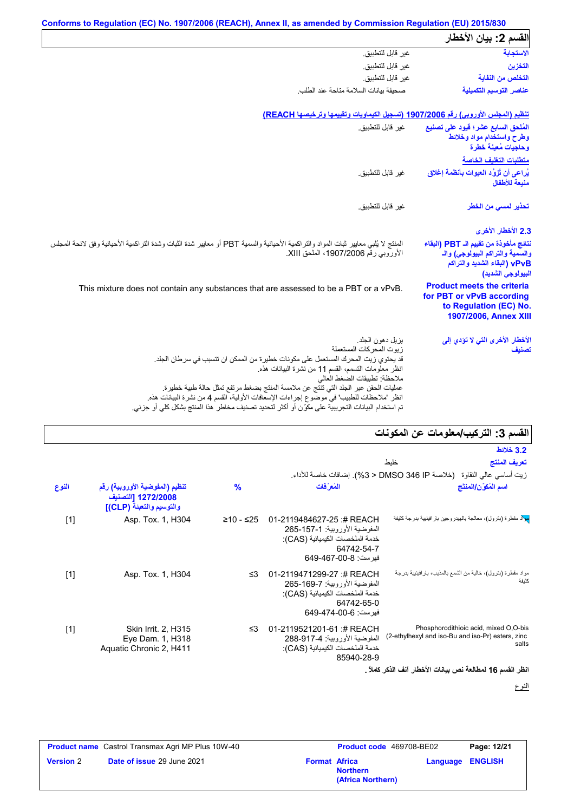|                                                                                                                                | Conforms to Regulation (EC) No. 1907/2006 (REACH), Annex II, as amended by Commission Regulation (EU) 2015/830                                                                                                                                                                        |
|--------------------------------------------------------------------------------------------------------------------------------|---------------------------------------------------------------------------------------------------------------------------------------------------------------------------------------------------------------------------------------------------------------------------------------|
| القسم 2: بيان الأخطار                                                                                                          |                                                                                                                                                                                                                                                                                       |
| الاستجابة                                                                                                                      | غير قابل للتطبيق.                                                                                                                                                                                                                                                                     |
| التخزين                                                                                                                        | غير قابل للتطبيق.                                                                                                                                                                                                                                                                     |
| التخلص من النفاية                                                                                                              | غبر قابل للتطبيق.                                                                                                                                                                                                                                                                     |
| عناصر التوسيم التكميلية                                                                                                        | صحبفة ببانات السلامة متاحة عند الطلب                                                                                                                                                                                                                                                  |
|                                                                                                                                | تنظيم (المجلس الأوروبي) رقم 1907/2006 (تسجيل الكيماويات وتقييمها وترخيصها REACH)                                                                                                                                                                                                      |
| المُلحق السابع عشر؛ قيود على تصنيع<br>وطرح واستخدام مواد وخلائط<br>وحاجيات مُعينة خطرة                                         | غير قابل للتطبيق.                                                                                                                                                                                                                                                                     |
| متطلبات التغليف الخاصة                                                                                                         |                                                                                                                                                                                                                                                                                       |
| يُراعى أن تُزوَّد العبوات بِأنظمة إغلاق<br>منيعة للأطفال                                                                       | غير قابل للتطبيق.                                                                                                                                                                                                                                                                     |
| تحذير لمسى من الخطر                                                                                                            | غير  قابل للتطبيق.                                                                                                                                                                                                                                                                    |
| 2.3 الأخطار الأخرى                                                                                                             |                                                                                                                                                                                                                                                                                       |
| نتائج مأخوذة من تقييم الـ PBT (البقاء<br>والسمية والتراكم البيولوجي) والـ<br>vPvB (البقاء الشديد والتراكم<br>البيولوجي الشديد) | المنتج لا يُلبي معايير ثبات المواد والتراكمية الأحيائية والسمية PBT أو معايير شدة الثبات وشدة التراكمية الأحيائية وفق لائحة المجلس<br>الأوروبي رقم 1907/2006، الملحق XIII.                                                                                                            |
| <b>Product meets the criteria</b><br>for PBT or vPvB according<br>to Regulation (EC) No.<br>1907/2006, Annex XIII              | This mixture does not contain any substances that are assessed to be a PBT or a vPvB.                                                                                                                                                                                                 |
| الأخطار الأخرى التي لا تؤدي إلى<br>تصنيف                                                                                       | بز بل دهون الجلد.<br>زيوت المحركات المستعملة<br>قد يحتوي زيت المحرك المستعمل على مكونات خطيرة من الممكن ان تتسبب في سرطان الجلد.                                                                                                                                                      |
|                                                                                                                                | انظر معلومات التسمم، القسم 11 من نشرة البيانات هذه.<br>ملاحظة: تطبيقات الضغط العالي                                                                                                                                                                                                   |
|                                                                                                                                | عمليات الحقن عبر الجلد التي تنتَّج عن ملامسة المنتج بضغط مرتفع تمثل حالة طبية خطيرة.<br>انظر "ملاحظات للطبيب" في موضَّوع إجراءات الإسعافات الأولية، القسم 4 من نشرة البيانات هذه.<br>تم استخدام البيانات التجريبية على مكوِّن أو أكثر لتحديد تصنيف مخاطر هذا المنتج بشكل كلي أو جزئي. |

## **القسم :3 التركیب/معلومات عن المكونات**

|                                                                                                     | المنتم ں. اسریپ استوسات کی اسٹوٹات                                                                                                  |               |                                                                                  |       |  |
|-----------------------------------------------------------------------------------------------------|-------------------------------------------------------------------------------------------------------------------------------------|---------------|----------------------------------------------------------------------------------|-------|--|
| <b>3.2 خلائط</b>                                                                                    |                                                                                                                                     |               |                                                                                  |       |  |
| تعريف المنتج                                                                                        | خلىط                                                                                                                                |               |                                                                                  |       |  |
| زيت أساسي عالى النقاوة    (خلاصة DMSO 346 IP < 3%). إضافات خاصة للأداء.                             |                                                                                                                                     |               |                                                                                  |       |  |
| اسم المُكوّن/المنتَج                                                                                | المُع َفات                                                                                                                          | $\frac{9}{6}$ | تنظيم (المفوضية الأوروبية) رقم<br>1272/2008 [التصنيف<br>والتوسيم والتعبنة (CLP)] | النوع |  |
| <mark>مِيلا</mark> د مقطرة (بترول)، معالجة بالهيدروجين بار افينيية بدرجة كثيفة                      | 01-2119484627-25:# REACH<br>المفوضية الأور وبية: 1-157-265<br>خدمة الملخصات الكيميائية (CAS):<br>64742-54-7<br>فهرست: 8-00-649-649  | ≥10 - ≤25     | Asp. Tox. 1, H304                                                                | $[1]$ |  |
| مواد مقطرة (بترول)، خالية من الشمع بالمذيب، بار افينيية بدرجة<br>كثبفة                              | 01-2119471299-27:# REACH<br>المفوضية الأور وبية: 7-169-265<br>خدمة الملخصات الكيميائية (CAS):<br>64742-65-0<br>فهر ست: 6-00-474-649 | ≤3            | Asp. Tox. 1, H304                                                                | $[1]$ |  |
| Phosphorodithioic acid, mixed O,O-bis<br>(2-ethylhexyl and iso-Bu and iso-Pr) esters, zinc<br>salts | 01-2119521201-61:# REACH<br>المفوضية الأور وبية: 917-4-288<br>خدمة الملخصات الكيميائية (CAS):<br>85940-28-9                         | ≤3            | Skin Irrit. 2, H315<br>Eye Dam. 1, H318<br>Aquatic Chronic 2, H411               | $[1]$ |  |

**انظر القسم 16 لمطالعة نص بیانات الأخطار آنف الذكر كاملاً .**

النوع

| <b>Product name</b> Castrol Transmax Agri MP Plus 10W-40 |                                   | <b>Product code</b> 469708-BE02 |                                      | Page: 12/21 |                         |
|----------------------------------------------------------|-----------------------------------|---------------------------------|--------------------------------------|-------------|-------------------------|
| <b>Version 2</b>                                         | <b>Date of issue 29 June 2021</b> | <b>Format Africa</b>            | <b>Northern</b><br>(Africa Northern) |             | <b>Language ENGLISH</b> |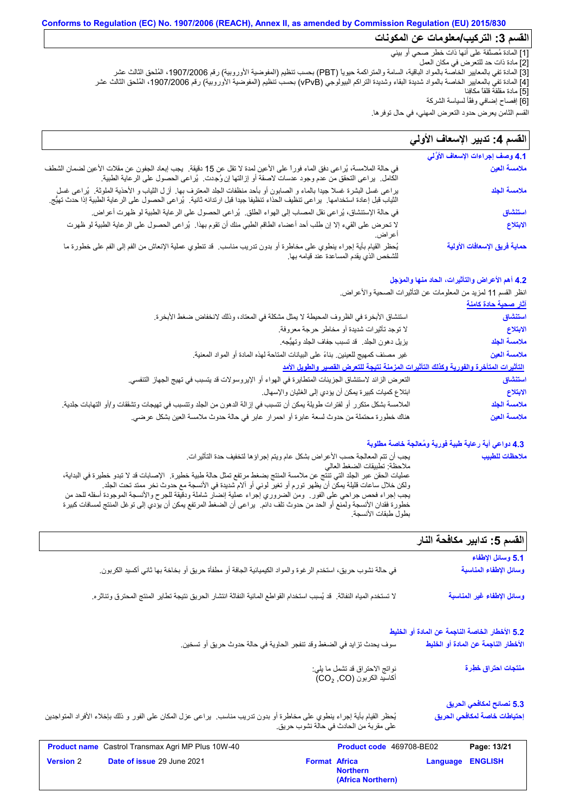## **Conforms to Regulation (EC) No. 1907/2006 (REACH), Annex II, as amended by Commission Regulation (EU) 2015/830 القسم :3 التركیب/معلومات عن المكونات**

[1] المادة مُصنَّفة على أنھا ذات خطر صحي أو بیئي

[2] مادة ذات حد للتعرض في مكان العمل

[3] المادة تفي بالمعاییر الخاصة بالمواد الباقیة، السامة والمتراكمة حیویاً (PBT (بحسب تنظیم (المفوضیة الأوروبیة) رقم ،1907/2006 المُلحق الثالث عشر [4] المادة تفي بالمعاییر الخاصة بالمواد شدیدة البقاء وشدیدة التراكم البیولوجي (vPvB (بحسب تنظیم (المفوضیة الأوروبیة) رقم ،1907/2006 المُلحق الثالث عشر [5] مادة مقلقة قلقاً مكافِئا

[6] إفصاح إضافي وفقًأ لسیاسة الشركة

القسم الثامن یعرض حدود التعرض المھني، في حال توفرھا.

### لا تحرض على القيء إلا إن طلب أحد أعضاء الطاقم الطبي منك أن تقوم بھذا. یُراعى الحصول على الرعایة الطبیة لو ظھرت أعراض. في حالة الملامسة، یُراعى دفق الماء فوراً على الأعین لمدة لا تقل عن 15 دقیقة. یجب إبعاد الجفون عن مقلات الأعین لضمان الشطف في حالة الملامسة، يُراعى دفق الماء فورا على الأعين لمدة لا تقل عن 15 دقيقة.<br>الكامل. يراعى التحقق من عدم وجود عدسات لاصقة أو إزالتها إن وُجِدت. يُراعى الحصول على الرعاية الطبية.<br>يراعى غسل البشرة غسلا جيدا بالماء و الصابون ق<sub>اع</sub> / في كان السعود التعرض الما<br>قسم الثامن يعرض حدود التعرض الما<br>**القسم 4: تدبير الإسعاف الأوَّلي**<br>4.1 وصف إجراءات الإسعاف الأوَّلي في حالة الإستنشاق، یُراعى نقل المصاب إلى الھواء الطلق. یُراعى الحصول على الرعایة الطبیة لو ظھرت أعراض. یُحظر القیام بأیة إجراء ینطوي على مخاطرة أو بدون تدریب مناسب. قد تنطوي عملیة الإنعاش من الفم إلى الفم على خطورة ما للشخص الذي یقدم المساعدة عند قیامھ بھا. القسم **4:** تدبير الإسعاف الأول*ي* في حالة الملامسة، يُراعى دفق الماء فوراً على الأعين لمدة لا تقل عن 15 دقيقة<sub>.</sub> يجب إبعاد الجفون عن مقلات الأعين لضمان الش<br>الكامل. يراعى التحقق من عدم وجود عدسات لاصقة أو إزِ التها إن وُجِدت. يُراعى الحصول على الرعاية الطب الثیاب قبل إعادة استخدامھا. یراعى تنظیف الحذاء تنظیفا جیدا قبل ارتدائھ ثانیة. یُراعى الحصول على الرعایة الطبیة إذا حدث تھیُّج. **ملامسة العین ملامسة الجلد استنشاق الابتلاع حمایة فریق الإسعافات الأولیة**

## **4.2 أھم الأعراض والتأثیرات، الحاد منھا والمؤجل**

انظر القسم 11 لمزید من المعلومات عن التأثیرات الصحیة والأعراض.

| <u>آثار صحية حادة كامنة</u> |                                                                                                                           |
|-----------------------------|---------------------------------------------------------------------------------------------------------------------------|
| استنشاق                     | استتشاق الأبخرة في الظروف المحيطة لا يمثل مشكلة في المعتاد، وذلك لانخفاض ضغط الأبخرة.                                     |
| الابتلاع                    | لا توجد تأثيرات شديدة أو مخاطر حرجة معروفة.                                                                               |
| ملامسة الجلد                | يزيل دهون الجلد ٍ قد تسبب جفاف الجلد وتهيُّجه.                                                                            |
| ملامسة العين                | غير مصنف كمهيج للعينين بناءً على البيانات المتاحة لهذه المادة أو المواد المعنية.                                          |
|                             | التأثيرات المتأخرة والفورية وكذلك التأثيرات المزمنة نتيجة للتعرض القصير والطويل الأمد                                     |
| استنشاق                     | النّعر ض الزائد لاستنشاق الجزيئات المتطايرة في الهواء أو الإيروسولات قد يتسبب في تهيج الجهاز التنفسي.                     |
| الابتلاع                    | ابتلاع كميات كبيرة يمكن أن يؤدي إلى الغثيان والإسهال.                                                                     |
| ملامسة الجلد                | الملامسة بشكل متكرر أو لفترات طويلة يمكن أن تتسبب في إزالة الدهون من الجلد وتتسبب في تهيجات وتشققات و/أو التهابات جلدية ِ |
| ملامسة العين                | هناك خطورة محتملة من حدوث لسعة عابرة أو احمرار عابر في حالة حدوث ملامسة العين بشكل عرضي.                                  |

## **4.3 دواعي أیة رعایة طبیة فوریة ومُعالجة خاصة مطلوبة**

| يجب أن تتم المعالجة حسب الأعراض بشكل عام ويتم إجراؤها لتخفيف حدة التأثيرات.                                               | ملاحظات للطبيب |
|---------------------------------------------------------------------------------------------------------------------------|----------------|
| ملاحظة: تطبيقات الضغط العالي                                                                                              |                |
| عمليات الحقن عبر الجلد التي تنتج عن ملامسة المنتج بضغط مرتفع تمثل حالة طبية خطيرة٬ الإصبابات قد لا تبدو خطيرة في البداية، |                |
| ولكن خلال ساعات قليلة يمكِّن أنَّ يظهر تورم أو تغير لوني أو آلام شديدة في الأنسجة مع حدوث نخر ممتد تحت الجلد.             |                |
| يجب إجراء فحص جراحي على الفور ٍ ومن الضروري إجراء عملية إنضار شاملة ودقيقة للجرح والأنسجة الموجودة أسفله للحد من          |                |
| خطورة فقدان الأنسجة ولمنع أو الحد من حدوث تلف دائم.  يراعي أن الضغط المرتفع يمكن أن يؤدي إلى توغل المنتج لمسافات كبيرة    |                |
| بطول طبقات الأنسجة.                                                                                                       |                |

## القسم 5: تدابیر مكافحة النار

|                                                                                                                           |                                                              |                                                | 5.1 وسائل الإطفاء                   |
|---------------------------------------------------------------------------------------------------------------------------|--------------------------------------------------------------|------------------------------------------------|-------------------------------------|
| في حالة نشوب حريق، استخدم الر غوة والمواد الكيميائية الجافة أو مطفأة حريق أو بخاخة بها ثاني أكسيد الكربون.                |                                                              |                                                | وسائل الإطفاء المناسبة              |
| لا تستخدم المياه النفاثة. ۖ قد يُسبب استخدام القواطع المائية النفاثة انتشار الحريق نتيجة تطاير المنتج المحترق وتناثره.    |                                                              |                                                | وسائل الإطفاء غير المناسبة          |
|                                                                                                                           |                                                              | 5.2 الأخطار الخاصة الناجمة عن المادة أو الخليط |                                     |
| سوف يحدث تزايد في الضغط وقد تنفجر الحاوية في حالة حدوث حريق أو تسخين.                                                     |                                                              |                                                | الأخطار الناجمة عن المادة أو الخليط |
|                                                                                                                           | نواتج الاحتراق قد تشمل ما يلي:<br>أكاسيد الكربون (CO, CO)    |                                                | منتجات احتراق خطرة                  |
|                                                                                                                           |                                                              |                                                | 5.3 نصائح لمكافحي الحريق            |
| يُحظر القيام بأية إجراء ينطوي على مخاطرة أو بدون تدريب مناسب.  يراعى عزل المكان على الفور و ذلك بإخلاء الأفراد المتواجدين | على مقربة من الحادث في حالة نشوب حريق.                       |                                                | إحتياطات خاصة لمكافحي الحريق        |
| <b>Product name</b> Castrol Transmax Agri MP Plus 10W-40                                                                  | Product code 469708-BE02                                     |                                                | Page: 13/21                         |
| <b>Version 2</b><br>Date of issue 29 June 2021                                                                            | <b>Format Africa</b><br><b>Northern</b><br>(Africa Northern) | Language                                       | <b>ENGLISH</b>                      |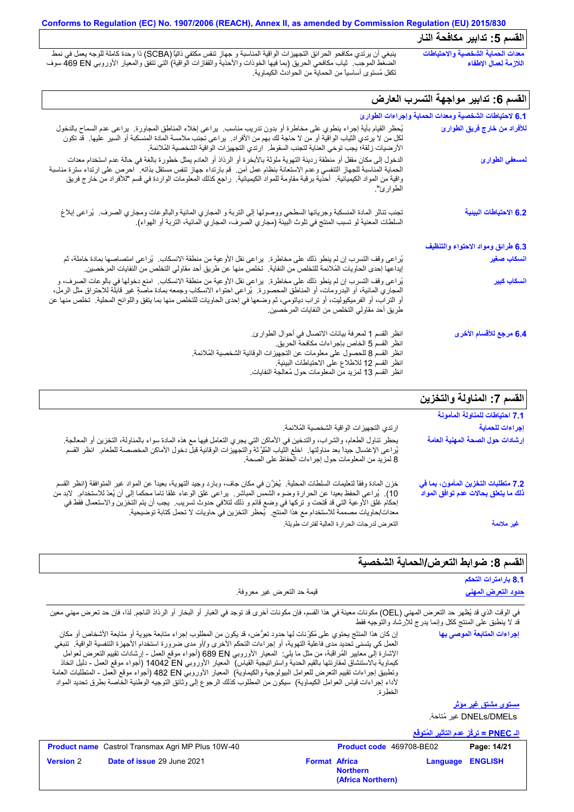## **Conforms to Regulation (EC) No. 1907/2006 (REACH), Annex II, as amended by Commission Regulation (EU) 2015/830** القسم 5: تدابیر مكا**فح**ة النار

ینبغي أن یرتدي مكافحو الحرائق التجھیزات الواقیة المناسبة و جھاز تنفس مكتفي ذاتیاً (SCBA (ذا وحدة كاملة للوجھ یعمل في نمط الضغط الموجب. ثیاب مكافحي الحریق (بما فیھا الخوذات والأحذیة والقفازات الواقیة) التي تتفق والمعیار الأوروبي EN 469 سوف تكفل مُستوى أساسیاً من الحمایة من الحوادث الكیماویة. **معدات الحمایة الشخصیة والاحتیاطات اللازمة لعمال الإطفاء**

## القسم 6: تدابير مواجهة التسرب العا*ر*ض

| 6.1 لاحتياطات الشخصية ومعدات الحماية وإجراءات الطوارئ |                                                                                                                                                                                                                                                                                                                                                                                                                                  |
|-------------------------------------------------------|----------------------------------------------------------------------------------------------------------------------------------------------------------------------------------------------------------------------------------------------------------------------------------------------------------------------------------------------------------------------------------------------------------------------------------|
| للأفراد من خارج فريق الطوارئ                          | يُحظر القيام بأية إجراء ينطوي على مخاطرة أو بدون تدريب مناسب. يراعي إخلاء المناطق المجاورة. يراعي عدم السماح بالدخول<br>لكل من لا يرتدي الثياب الواقية أو من لا حاجة لك بهم من الأفراد.  يراعي نجنب ملامسة المادة المنسكبة أو السير عليها   قد نكون<br>الأرضيات زلقة؛ يجب توخي العناية لتجنب السقوط.  ارتدي التجهيزات الواقية الشخصية المُلائمة.                                                                                 |
| لمسعفي الطوارئ                                        | الدخول إلى مكان مقفل أو منطقة رديئة التهوية ملوثة بالأبخرة أو الرذاذ أو العادم يمثّل خطورة بالغة في حالة عدم استخدام معدات<br>الحماية المناسبة للجهاز التنفسي وعدم الاستعانة بنظام عمل آمن. قم بارتداء جهاز تنفس مستقل بذاته. احرص على ارتداء سترة مناسبة<br>واقية من المواد الكيميائية   أحذية برقبة مقاومة للمواد الكيميائية   راجع كذلك المعلومات الواردة في قسم "للأفراد من خارج فريق<br>الطو ار ئ".                         |
| 6.2 الاحتياطات البينية                                | تجنب تناثر المادة المنسكبة وجريانها السطحي ووصولها إلى التربة و المجاري المانية والبالوعات ومجاري الصرف.  يُراعى إبلاغ<br>السلطات المعنية لو تسبب المنتج في تلوث البيئة (مجاري الصرف، المجاري المائية، التربة أو الهواء).                                                                                                                                                                                                        |
| 6.3 طرائق ومواد الاحتواء والتنظيف                     |                                                                                                                                                                                                                                                                                                                                                                                                                                  |
| انسكاب صغير                                           | يُراعى وقف التسرب إن لم ينطو ذلك على مخاطرة.  يراعى نقل الأوعية من منطقة الانسكاب.  يُراعى امتصاصها بمادة خاملة، ثم<br>إيداعها إحدى الحاويات المُلائمة للتخلص من النفاية.  تخلص منها عن طريق أحد مقاولي التخلص من النفايات المرخصين.                                                                                                                                                                                             |
| أنسكاب كبير                                           | يُراعي وقف التسرب إن لم ينطو ذلك على مخاطرة.  يراعي نقل الأوعية من منطقة الانسكاب.  امنع دخولها في بالوعات الصرف، و<br>المجاري المائية، أو البدرومات، أو المناطق المحصورة.  يُراعي احتواء الانسكاب وجمعه بمادة ماصةٍ غير قابلة للاحتراق مثل الرمل،<br>أو التراب، أو الفرميكيوليت، أو تراب دياتومي، ثم وضعها في إحدى الحاويات للتخلص منها بما يتفق واللوائح المحلية. تخلص منها عن<br>طريق أحد مقاولي التخلص من النفايات المرخصين. |
| 6.4 مرجع للأقسام الأخرى                               | انظر القسم 1 لمعرفة بيانات الاتصال في أحوال الطوارئ.<br>انظر القسم 5 الخاص بإجراءات مكافحة الحريق.<br>انظر القسم 8 للحصول على معلومات عن التجهيزات الوقائية الشخصية المُلائمة.<br>انظر القسم 12 للاطلاع على الاحتياطات البيئية.<br>انظر القسم 13 لمزيد من المعلومات حول مُعالجة النفايات                                                                                                                                         |

## **القسم :7 المناولة والتخزین**

|                                                                                                                                                                                                                                                                                                                                                                                                                                                                                     | القسم 7: المناولة والنخرين                                                  |
|-------------------------------------------------------------------------------------------------------------------------------------------------------------------------------------------------------------------------------------------------------------------------------------------------------------------------------------------------------------------------------------------------------------------------------------------------------------------------------------|-----------------------------------------------------------------------------|
|                                                                                                                                                                                                                                                                                                                                                                                                                                                                                     | 7.1 احتياطات للمناولة المأمونة                                              |
| ارتدي التجهيز ات الواقية الشخصية المُلائمة.                                                                                                                                                                                                                                                                                                                                                                                                                                         | إجراءات للحماية                                                             |
| يحظر تناول الطعام، والشراب، والتدخين في الأماكن التي يجري التعامل فيها مع هذه المادة سواء بالمناولة، التخزين أو المعالجة.<br>.<br>يُراعى الإغتسال جيداً بعد مناولتها ِ اخلع الَّتياب المُلوَّثة والتجهيزات الوقائية قبلّ دخول الأماكن المخصصة للطعام ِ انظر القسم<br>8 لمزيد من المعلومات حول إجراءات الحفاظ على الصحة.                                                                                                                                                             | إرشادات حول الصحة المهنية العامة                                            |
| خزن المادة وفقاً لتعليمات السلطات المحلية.  يُخزَّن في مكان جاف، وبارد وجيد التهوية، بعيداً عن المواد غير المتوافقة (انظر القسم<br>10).  يُراعى الحفظ بعيدا عن الحرارة وضوء الشمس المباشر   يراعى غلق الوعاء غلقا تاما محكما إلى أن يُعدّ للاستخدام   لابد من<br>إحكام غلق الأوعية التي قد فُتِحت و تركها في وضع قائم و ذلك لتلافي حدوث تسريب.  يجب أن يتم التخزين والاستعمال فقط في<br>معدات/حاويات مصممة للاستخدام مع هذا المنتج.  يُحظر التخزين في حاويات لا تحمل كتابة توضيحية. | 7.2 متطلبات التخزين المأمون، بما في<br>ذلك ما يتعلق بحالات عدم توافق المواد |
| التعرض لدرجات الحرارة العالية لفترات طويلة                                                                                                                                                                                                                                                                                                                                                                                                                                          | غير ملائمة                                                                  |

## القسم 8: ضوابط التعرض/الحماية الشخصية

|                                                                                                                                                                  | 8.1 بارامترات التحكم      |
|------------------------------------------------------------------------------------------------------------------------------------------------------------------|---------------------------|
| قيمة حد التعرض غير معروفة.                                                                                                                                       | <u>حدود التعرض المهنى</u> |
| رف الرقت الذي قد نُظمر حد النعرض الممنى ( OFI) مكرنات معينة في هذا القسوء فإن مكرنات أخرى قد توحد في الغيل أو الدخار أو الدذاذ الناحم لذاء فإن حد تعرض ممني معين |                           |

في الوقت الذي قد يُظهر حد التعرض المهني (OEL) مكونات معينة في هذا القسم، فإن مكونات أخرى قد توجد في الغبار أو الرذاذ الفجم. لذا، فإن حد تعرض مهني معين قد لا ینطبق على المنتج ككل وإنما یدرج للإرشاد والتوجیھ فقط

| إن كان هذا المنتَج يحتوي على مُكرِّنات لها حدود تعرُّض، قد يكون من المطلوب إجراء متابعة حيوية أو متابعة الأشخاص أو مكان<br>العمل كي يتسنى تحديد مدى فاعلية التهوية، أو إجراءات التحكم الأخرى و/أو مدى ضرورة استخدام الأجهزة التنفسية الواقية.  تنبغي | إجراءات المتابعة الموصى بها |
|------------------------------------------------------------------------------------------------------------------------------------------------------------------------------------------------------------------------------------------------------|-----------------------------|
| الإشارة إلى معايير المُراقبة، من مثل ما يلي:  المعيار الأوروبي 680 BN (أجواء موقع العمل - إرشادات نقييع التعرض لعوامل                                                                                                                                |                             |
| كيماوية بالاستنشاق لمقارنتها بالقيم الحدية واستراتيجية القياس)  المعيار الأوروبي 14042 D (أجواء موقع العمل - دليل اتخاذ<br>وتطبيق إجراءات تقييم التعرض للعوامل البيولوجية والكيماوية)  المعيار الأوروبي 482 B2 (أجواء موقع العمل ـ المنطلبات العامة  |                             |
| لأداء إجراءات قياس العوامل الكيماوية)  سيكون من المطلوب كذلك الرجوع إلى وثائق التوجيه الوطنية الخاصة بطرق تحديد المواد                                                                                                                               |                             |
| الخطر ة                                                                                                                                                                                                                                              |                             |

DMELs/DNELs غیر مُتاحة. **مستوى مشتق غیر مؤثر**

**الـ PNEC = تركُّز عدم التأثیر المُتوقَّع**

| <b>Product name</b> Castrol Transmax Agri MP Plus 10W-40 | <b>Product code</b> 469708-BE02                              |                         | Page: 14/21 |
|----------------------------------------------------------|--------------------------------------------------------------|-------------------------|-------------|
| <b>Date of issue 29 June 2021</b><br><b>Version 2</b>    | <b>Format Africa</b><br><b>Northern</b><br>(Africa Northern) | <b>Language ENGLISH</b> |             |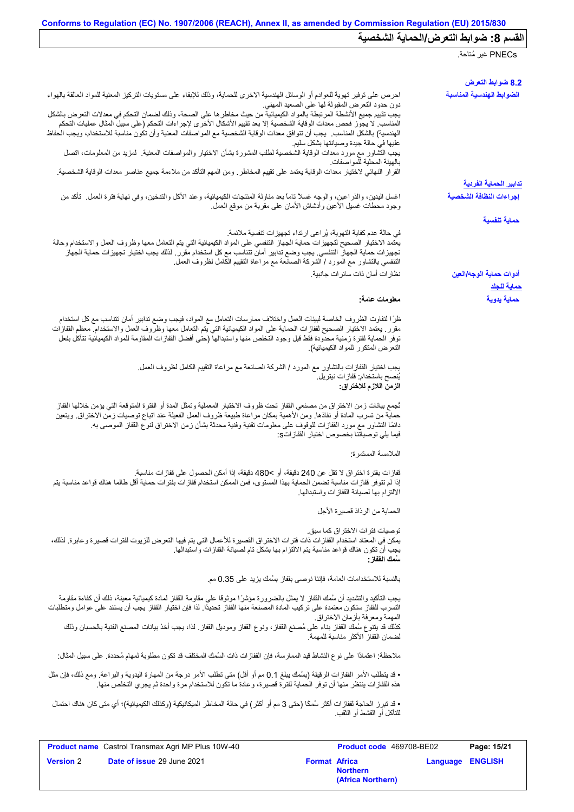|                                                                                                                                                                                                                                                                                                                                                                                                                                                                                                                                                                                                                                                                                                                                                                                                                                                                                                  | PNECs غير مُتاحة.                       |
|--------------------------------------------------------------------------------------------------------------------------------------------------------------------------------------------------------------------------------------------------------------------------------------------------------------------------------------------------------------------------------------------------------------------------------------------------------------------------------------------------------------------------------------------------------------------------------------------------------------------------------------------------------------------------------------------------------------------------------------------------------------------------------------------------------------------------------------------------------------------------------------------------|-----------------------------------------|
|                                                                                                                                                                                                                                                                                                                                                                                                                                                                                                                                                                                                                                                                                                                                                                                                                                                                                                  | 8.2 ضوابط التعرض                        |
| احرص على توفير تهوية للعوادم أو الوسائل الهندسية الاخرى للحماية، وذلك للإبقاء على مستويات التركيز المعنية للمواد العالقة بالهواء<br>دون حدود التعرض المقبولة لها على الصعيد المهنى<br>يجب تقييم جميع الأنشطة المرتبطة بالمواد الكيميائية من حيث مخاطر ها على الصحة، وذلك لضمان التحكم في معدلات التعرض بالشكل<br>المناسب لا يجوز فحص معدات الوقاية الشخصية إلا بعد تقييم الأشكال الأخرى لإجراءات التحكم (على سبيل المثال عمليات التحكم<br>الهندسية) بالشكل المناسب يجب أن تتوافق معدات الوقاية الشخصية مع المواصفات المعنية وأن تكون مناسبة للاستخدام، ويجب الحفاظ<br>عليها في حالة جيدة وصيانتها بشكل سليم<br>يجب التَّشاور مع مورد معدات الوقاية الشَّخصية لطلب المشورة بشأن الاختيار والمواصفات المعنية. كمزيد من المعلومات، اتصل<br>بالهيئة المحلية للمواصفات<br>القرار النهائي لاختيار معدات الوقاية يعتمد على تقييم المخاطر ـ ومن المهم التأكد من ملاءمة جميع عناصر معدات الوقاية الشخصية. | الضوابط الهندسية المناسبة               |
|                                                                                                                                                                                                                                                                                                                                                                                                                                                                                                                                                                                                                                                                                                                                                                                                                                                                                                  | <u>تدابير الحماية الفردية</u>           |
| اغسل اليدين، والذراعين، والوجه غسلاً تاماً بعد مناولة المنتجات الكيميائية، وعند الأكل والتدخين، وفي نهاية فترة العمل ِ تأكد من<br>وجود محطات غسيل الأعين وأدشاش الأمان علىي مقربة من موقع العمل                                                                                                                                                                                                                                                                                                                                                                                                                                                                                                                                                                                                                                                                                                  | إجراءات النظافة الشخصية                 |
| في حالة عدم كفاية التهوية، يُراعى ارتداء تجهيزات تنفسية ملائمة.<br>يعتمد الاختيار الصحيح لتجهيزات حماية الجهاز التنفسي على المواد الكيميائية التي يتم التعامل معها وظروف العمل والاستخدام وحالة<br>تجهيزات حماية الجهاز التنفسي. يجب وضع تدابير أمان تتناسب مع كل استخدام مقرر . لذلك يجب اختيار تجهيزات حماية الجهاز<br>التنفسي بالتشاور مع المورد / الشركة الصانعة مع مراعاة التقييم الكامل لظروف العمل.<br>نظار ات أمان ذات ساتر ات جانبية.                                                                                                                                                                                                                                                                                                                                                                                                                                                   | حماية تنفسية<br>أدوات حماية الوجه/العين |
| معلومات عامة:                                                                                                                                                                                                                                                                                                                                                                                                                                                                                                                                                                                                                                                                                                                                                                                                                                                                                    | <u>حماية للجلد</u><br>حماية يدوية       |
| ظرًا لتفاوت الظروف الخاصة لبيئات العمل واختلاف ممارسات التعامل مع المواد، فيجب وضع تدابير أمان تتناسب مع كل استخدام<br>مقرر ٍ يعتمد الاختيار الصحيح لقفازات الحماية على المواد الكيميائية التي يتم التعامل معها وظروف العمل والاستخدام معظم القفازات<br>توفر الحماية لفترة زمنية محدودة فقط قبل وجود التخلص منها واستبدالها (حتى أفضل القفازات المقاومة للمواد الكيميائية تتآكل بفعل<br>التعرض المتكرر للمواد الكيميائية).<br>يجب اختيار القفازات بالتشاور مع المورد / الشركة الصانعة مع مراعاة التقييم الكامل لظروف العمل.<br>يُنصح باستخدام: ففاز ات نيتريل.<br>الزمن اللازم للاختراق:<br>ثجمع بيانات زمن الاختراق من مصنعي القفاز تحت ظروف الاختبار المعملية وتمثل المدة أو الفترة المتوقعة التي يؤمن خلالها القفاز                                                                                                                                                                           |                                         |
| حماية من تسرب المادة أو نفاذها. ومن الأهمية بمكان مراعاة طبيعة ظروف العمل الفعيلة عند اتباع توصيات زمن الاختراق. ويتعين<br>دائمًا التشاور مع مورد القفازات للوقوف على معلومات تقنية وفنية محدثة بشأن زمن الاختراق لنوع القفاز الموصىي به<br>فيما يلي توصياتنا بخصوص اختيار القفاز اتS:<br>الملامسة المستمرة:                                                                                                                                                                                                                                                                                                                                                                                                                                                                                                                                                                                     |                                         |
| قفازات بفترة اختراق لا تقل عن 240 دقيقة، أو >480 دقيقة، إذا أمكن الحصول على قفازات مناسبة.<br>إذا لم تتوفر قفازات مناسبة تضمن الحماية بهذا المستوى، فمن الممكن استخدام قفازات بفترات حماية أقل طالما هناك قواعد مناسبة يتم<br>الالتزام بها لصيانة القفازات واستبدالها.<br>الحماية من الرذاذ قصيرة الأجل                                                                                                                                                                                                                                                                                                                                                                                                                                                                                                                                                                                          |                                         |
| توصيات فتر ات الاختر اق كما سبق.<br>يمكن في المعتاد استخدام القفازات ذات فترات الاختراق القصيرة للأعمال التي يتم فيها التعرض للزيوت لفترات قصيرة وعابرة. لذلك،<br>يجب أن تكون هناك قواعد مناسبة يتم الالتزام بها بشكل تام لصيانة القفازات واستبدالها.<br>سَمك الففاز :                                                                                                                                                                                                                                                                                                                                                                                                                                                                                                                                                                                                                           |                                         |
| بالنسبة للاستخدامات العامة، فإننا نوصي بقفاز بسُمك يزيد على 0.35 مم.                                                                                                                                                                                                                                                                                                                                                                                                                                                                                                                                                                                                                                                                                                                                                                                                                             |                                         |
| يجب التأكيد والتشديد أن سُمك القفاز لا يمثل بالضرورة مؤشرًا موثوقًا على مقاومة القفاز لمددة كيميائية معينة، ذلك أن كفاءة مقاومة<br>التسرب للقفاز ستكون معتمدة على تركيب المادة المصنعة منها القفاز تحديدًا. لذا فإن اختيار القفاز يجب أن يستند على عوامل ومتطلبات<br>المهمة ومعرفة بازمان الاختراق.<br>كذلك قد يتنوع سُمك القفاز بناء على مُصنع القفاز ، ونوع القفاز وموديل القفاز ٍ لذا، يجب أخذ بيانات المصنع الفنية بالحسبان وذلك<br>لضمان القفاز الأكثر مناسبة للمهمة                                                                                                                                                                                                                                                                                                                                                                                                                        |                                         |
| ملاحظة: اعتمادًا على نوع النشاط قيد الممارسة، فإن القفازات ذات السُمك المختلف قد تكون مطلوبة لمهام مُحددة. على سبيل المثال:                                                                                                                                                                                                                                                                                                                                                                                                                                                                                                                                                                                                                                                                                                                                                                      |                                         |
| • قد يتطلب الأمر القفازات الرقيقة (بسُمك يبلغ 0.1 مم أو أقل) متى تطلب الأمر درجة من المهارة اليدوية والبراعة. ومع ذلك، فإن مثل<br>هذه القفازات ينتظر منها أن توفر الحماية لفترة قصيرة، وعادة ما تكون للاستخدام مرة واحدة ثم يجري التخلص منها.                                                                                                                                                                                                                                                                                                                                                                                                                                                                                                                                                                                                                                                    |                                         |
| • قد تبرز الحاجة لقفازات أكثر سُمكًا (حتى 3 مم أو أكثر) في حالة المخاطر الميكانيكية (وكذلك الكيميائية)؛ أي متى كان هناك احتمال<br>للتآكل أو القشط أو الثقب.                                                                                                                                                                                                                                                                                                                                                                                                                                                                                                                                                                                                                                                                                                                                      |                                         |

|                  | <b>Product name</b> Castrol Transmax Agri MP Plus 10W-40 |                      | <b>Product code</b> 469708-BE02      |                         | Page: 15/21 |
|------------------|----------------------------------------------------------|----------------------|--------------------------------------|-------------------------|-------------|
| <b>Version 2</b> | <b>Date of issue 29 June 2021</b>                        | <b>Format Africa</b> | <b>Northern</b><br>(Africa Northern) | <b>Language ENGLISH</b> |             |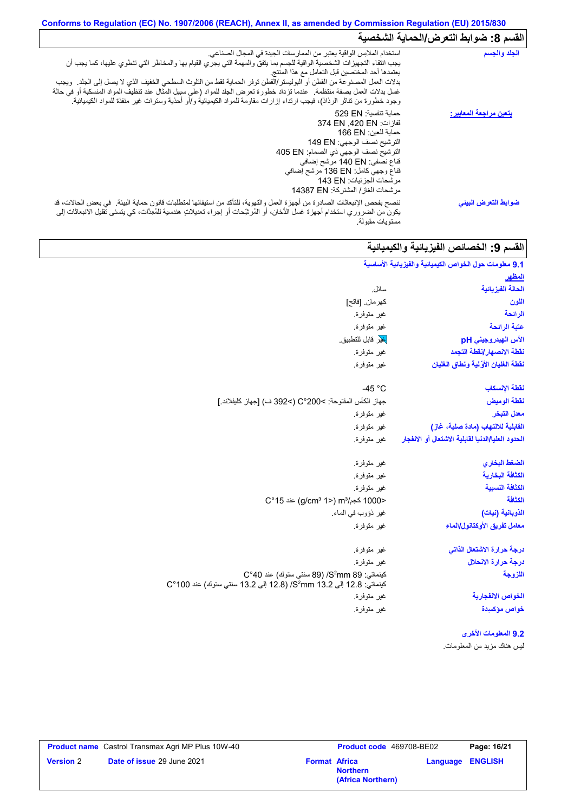## **Conforms to Regulation (EC) No. 1907/2006 (REACH), Annex II, as amended by Commission Regulation (EU) 2015/830** القسم 8: ضوابط التع*ر*ض/الحماية الشخصية

| استخدام الملابس الواقية يعتبر من الممارسات الجيدة في المجال الصناعي.<br>يجب انتقاء التجهيزات الشخصية الواقية للجسم بما يتفق والمهمة التي يجري القيام بها والمخاطر التي تنطوي عليها، كما يجب أن<br>يعتمدها أحد المختصين قبل التعامل مع هذا المنتج<br>بدلات العمل المصنوعة من القطن أو البوليستر/القطن توفر الحماية فقط من النلوث السطحي الخفيف الذي لا يصل إلى الجلد ٍ ويجب<br>غسل بدلات العمل بصفة منتظمة ٍ عندما تزداد خطورة تعرض الجلد للمواد (على سبيل المثال عند تنظيف المواد المنسكبة أو في حالة<br>وجود خطورة من تناثر الرذاذ)، فيجب ارتداء إزارات مقاومة للمواد الكيميائية و/أو أحذية وسترات غير منفذة للمواد الكيميائية. |
|----------------------------------------------------------------------------------------------------------------------------------------------------------------------------------------------------------------------------------------------------------------------------------------------------------------------------------------------------------------------------------------------------------------------------------------------------------------------------------------------------------------------------------------------------------------------------------------------------------------------------------|
| حماية تنفسية: 529 EN<br>قفازات: 374 EN .420 EN<br>حماية للعين: 166 EN<br>الترشيح نصف الوجهي: 149 EN<br>الترشيح نصف الوجهي ذي الصمام: 405 EN<br>قناع نصفي: 140 EN مرشح إضافي<br>قذاع وجهي كامل: 136 EN مرشح إضافي<br>مرشحات الجزئيات: 143 EN<br>مرشحات الغاز / المشتركة: 14387 EN                                                                                                                                                                                                                                                                                                                                                 |
| ننصح بفحص الإنبعاثات الصادرة من أجهزة العمل والتهوية، للتأكد من استيفائها لمتطلبات قانون حماية البيئة <sub>.</sub> في بعض الحالات، قد<br>يكون من الضروري استخدام أجهزة غسل الدُّخان، أو المُرشِّحات أو إجراء تعديلاتٍ هندسية للمُعِدَّات، كي يتسنى تقليل الانبعاثات إلى<br>مستويات مقبولة.                                                                                                                                                                                                                                                                                                                                       |
|                                                                                                                                                                                                                                                                                                                                                                                                                                                                                                                                                                                                                                  |

# القسم 9: الخصائص الفیزیائیة والكیمیائیة

| 9.1 معلومات حول الخواص الكيميانية والفيزيانية الأساسية |                                                                                                                         |
|--------------------------------------------------------|-------------------------------------------------------------------------------------------------------------------------|
| المظهر                                                 |                                                                                                                         |
| الحالة الفيزيانية                                      | سائل.                                                                                                                   |
| اللون                                                  | كهر مان. [فاتح]                                                                                                         |
| الرائحة                                                | غير متوفرة.                                                                                                             |
| عتبة الرائحة                                           | غير متوفرة.                                                                                                             |
| الأس الهيدروجيني pH                                    | <mark>غي</mark> ر قابل للتطبيق                                                                                          |
| نقطة الانصهار إنقطة التجمد                             | غير متوفرة.                                                                                                             |
| نقطة الغليان الأوَّلية ونطاق الغليان                   | غير متوفرة.                                                                                                             |
| نقطة الإنسكاب                                          | $-45 °C$                                                                                                                |
| نقطة الوميض                                            | جهاز الكأس المفتوحة: >200°C (>392 ف) [جهاز كليفلاند.]                                                                   |
| معدل التبخر                                            | غير متوفرة.                                                                                                             |
| القابلية للالتهاب (مادة صلبة، غاز)                     | غير متوفرة.                                                                                                             |
| الحدود العليا/الدنيا لقابلية الاشتعال أو الانفجار      | غير متوفرة.                                                                                                             |
| الضغط البخاري                                          | غير متوفرة.                                                                                                             |
| الكثافة البخارية                                       | غير متوفرة.                                                                                                             |
| الكثافة النسبية                                        | غير متوفرة.                                                                                                             |
| الكثافة                                                | <1000 كجم/m3 (<1 g/cm3 1) عند 15°C                                                                                      |
| الذوبانية (نيات)                                       | غير ذؤوب في الماء.                                                                                                      |
| معامل تفريق الأوكتانول/الماء                           | غير متوفرة.                                                                                                             |
| درجة حرارة الاشتعال الذاتى                             | غير متوفرة.                                                                                                             |
| درجة حرارة الانحلال                                    | غير متوفرة.                                                                                                             |
| اللزوجة                                                | كينماتي: 89 S2mm/ (89 سنتي ستوك) عند 40°C<br>كينماتي: 12.8 إلى 3.2 S <sup>2</sup> mm 13.2 إلى 13.2 سنتي ستوك) عند 100°C |
| الخواص الانفجا <i>ر</i> ية                             | غير متوفرة.                                                                                                             |
| خواص مؤكسيدة                                           | غير متوفرة.                                                                                                             |
| 9.2 المعلومات الأخرى                                   |                                                                                                                         |
| ليس هناك مزيد من المعلومات.                            |                                                                                                                         |

|                  | <b>Product name</b> Castrol Transmax Agri MP Plus 10W-40 |                      | Product code 469708-BE02             |                         | Page: 16/21 |
|------------------|----------------------------------------------------------|----------------------|--------------------------------------|-------------------------|-------------|
| <b>Version 2</b> | Date of issue 29 June 2021                               | <b>Format Africa</b> | <b>Northern</b><br>(Africa Northern) | <b>Language ENGLISH</b> |             |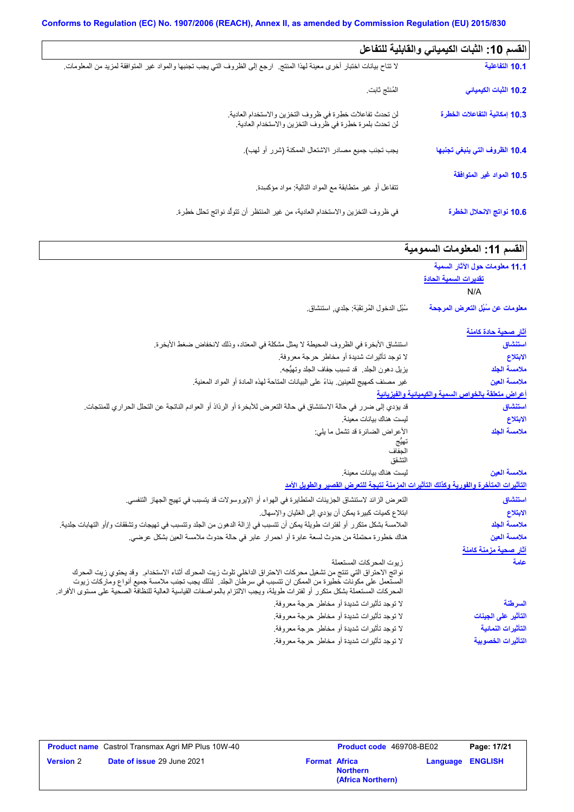| القسم 10: الثبات الكيميائي والقابلية للتفاعل |                                                                                                                           |
|----------------------------------------------|---------------------------------------------------------------------------------------------------------------------------|
| 10.1 التفاعلية                               | لا نتاح بيانات اختبار أخرى معينة لهذا المنتج   ارجع إلى الظروف التي يجب تجنبها والمواد غير المتوافقة لمزيد من المعلومات ِ |
| 10.2 الثبات الكيميائي                        | المُنتَج ثابت                                                                                                             |
| 10.3 إمكانية التفاعلات الخطرة                | لن تحدث تفاعلات خطرة في ظروف التخزين والاستخدام العادية.<br>لن تحدث بلمرة خطرة في ظروف التخزين والاستخدام العادية.        |
| 10.4 الظروف التي ينبغي تجنبها                | يجب تجنب جميع مصادر الاشتعال الممكنة (شرر أو لهب).                                                                        |
| 10.5 المواد غير المتوافقة                    |                                                                                                                           |
|                                              | نتفاعل أو غير متطابقة مع المواد الذالية: مواد مؤكسدة                                                                      |
| 10.6 نواتج الانحلال الخطرة                   | في ظروف التخزين والاستخدام العادية، من غير المنتظر أن تتولَّد نواتج تحلل خطِرة.                                           |

| القسم 11: المعلومات السمومية                        |                                                                                                                                                                                                                                           |
|-----------------------------------------------------|-------------------------------------------------------------------------------------------------------------------------------------------------------------------------------------------------------------------------------------------|
| 11.1 معلومات حول الآثار السمية                      |                                                                                                                                                                                                                                           |
| <u>تقديرات السمية الحادة</u>                        |                                                                                                                                                                                                                                           |
| N/A                                                 |                                                                                                                                                                                                                                           |
| معلومات عن سُبُل التعرض المرجحة                     | سُبُل الدخول المُرتقَبَة: جلدي, استنشاق.                                                                                                                                                                                                  |
| <u>آثار صحية حادة كامنة</u>                         |                                                                                                                                                                                                                                           |
| استنشاق                                             | استنشاق الأبخرة في الظروف المحيطة لا يمثل مشكلة في المعتاد، وذلك لانخفاض ضغط الأبخرة.                                                                                                                                                     |
| الابتلاع                                            | لا توجد تأثيرات شديدة أو مخاطر حرجة معروفة.                                                                                                                                                                                               |
| ملامسة الجلد                                        | يزيل دهون الجلد ٍ قد تسبب جفاف الجلد وتهيُّجه.                                                                                                                                                                                            |
| ملامسة العين                                        | غير مصنف كمهيج للعينين بناءً على البيانات المتاحة لهذه المادة أو المواد المعنية.                                                                                                                                                          |
| أعراض متعلقة بالخواص السمية والكيميانية والفيزيانية |                                                                                                                                                                                                                                           |
| استنشاق                                             | قد يؤدي إلى ضرر في حالة الاستنشاق في حالة التعرض للأبخرة أو الرذاذ أو العوادم الناتجة عن التحلل الحراري للمنتجات.                                                                                                                         |
| الابتلاع                                            | ليست هناك بيانات معينة                                                                                                                                                                                                                    |
| ملامسة الجلد                                        | الأعراض الضائرة قد تشمل ما يلي:                                                                                                                                                                                                           |
|                                                     | لحفاف                                                                                                                                                                                                                                     |
|                                                     | التشقق                                                                                                                                                                                                                                    |
| ملامسة العين                                        | ليست هناك بيانات معينة.                                                                                                                                                                                                                   |
|                                                     | التأثيرات المتأخرة والفورية وكذلك التأثيرات المزمنة نتيجة للتعرض القصير والطويل الأمد                                                                                                                                                     |
| استنشاق                                             | النعر ض الزائد لاستنشاق الجزيئات المتطايرة في الهواء أو الإيروسولات قد يتسبب في تهيج الجهاز التنفسي.                                                                                                                                      |
| الابتلاع                                            | ابنلاع كميات كبيرة يمكن أن يؤدي إلى الغثيان والإسهال.                                                                                                                                                                                     |
| ملامسة الجلد                                        | الملامسة بشكل متكرر أو لفترات طويلة يمكن أن تتسبب في إزالة الدهون من الجلد وتتسبب في تهيجات وتشققات و/أو التهابات جلدية.                                                                                                                  |
| ملامسة العين                                        | هناك خطورة محتملة من حدوث لسعة عابرة أو احمرار عابر في حالة حدوث ملامسة العين بشكل عرضي.                                                                                                                                                  |
| آثار صحية مزمنة كامنة                               |                                                                                                                                                                                                                                           |
| علمة                                                | زيوت المحركات المستعملة                                                                                                                                                                                                                   |
|                                                     | نواتج الاحتراق التي تنتج من تشغيل محركات الاحتراق الداخلي تلوث زيت المحرك أثناء الاستخدام. وقد يحتوي زيت المحرك                                                                                                                           |
|                                                     | المستعمل على مكونات خطيرة من الممكن ان تتسبب في سرطان الجلد . لذلك يجب تجنب ملامسة جميع أنواع وماركات زيوت<br>المحركات المستعملة بشكل متكرر أو لفترات طويلة، ويُجب الالتزام بالمواصفات القياسية العالية للنظافة الصحية على مستوى الأفراد. |
| السرطنة                                             | لا توجد تأثيرات شديدة أو مخاطر حرجة معروفة.                                                                                                                                                                                               |
| التأثير على الجينات                                 | لا توجد تأثيرات شديدة أو مخاطر حرجة معروفة.                                                                                                                                                                                               |
| التأثيرات النمائية                                  | لا توجد تأثيرات شديدة أو مخاطر حرجة معروفة.                                                                                                                                                                                               |
| التأثيرات الخصوبية                                  | لا توجد تأثيرات شديدة أو مخاطر حرجة معروفة.                                                                                                                                                                                               |

|                  | <b>Product name</b> Castrol Transmax Agri MP Plus 10W-40 |                      | <b>Product code</b> 469708-BE02      |                         | Page: 17/21 |
|------------------|----------------------------------------------------------|----------------------|--------------------------------------|-------------------------|-------------|
| <b>Version 2</b> | <b>Date of issue 29 June 2021</b>                        | <b>Format Africa</b> | <b>Northern</b><br>(Africa Northern) | <b>Language ENGLISH</b> |             |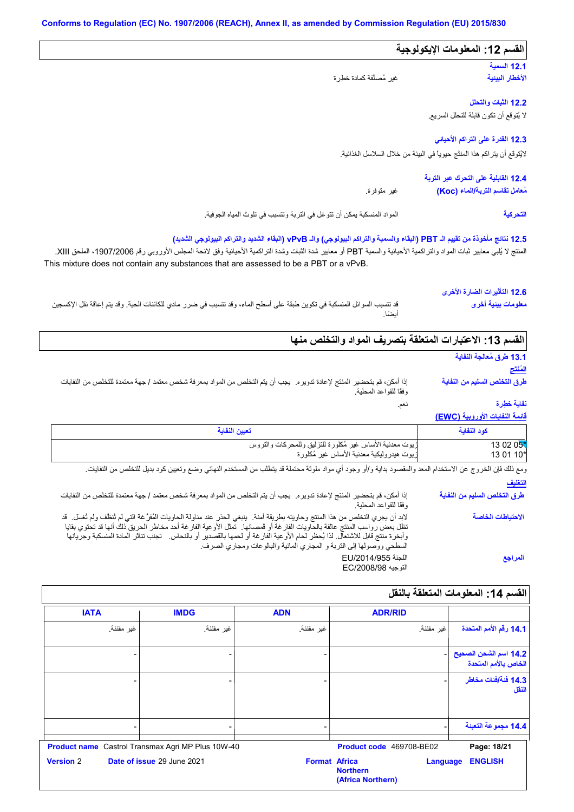## المواد المنسكبة یمكن أن تتوغل في التربة وتتسبب في تلوث المیاه الجوفیة. **12.3 القدرة على التراكم الأحیائي 12.1 السمیة 12.2 الثبات والتحلل القسم :12 المعلومات الإیكولوجیة 12.4 القابلیة على التحرك عبر التربة** غیر متوفرة. **12.5 نتائج مأخوذة من تقییم الـ PBT) البقاء والسمیة والتراكم البیولوجي) والـ vPvB) البقاء الشدید والتراكم البیولوجي الشدید)** لا یُتوقع أن تكون قابلة للتحلل السریع. لایُتوقع أن یتراكم ھذا المنتَج حیویاً في البیئة من خلال السلاسل الغذائیة. غیر مُصنَّفة كمادة خطِرة **الأخطار البیئیة مُعامل تقاسم التربة/الماء (Koc( التحركیة**

المنتج لا يُلبي معايير ثبات المواد والتراكمية الأحيائية والسمية PBT أو معايير شدة الثبراكمية الأحيائية وفق لائحة المجلس الأوروبي رقم 1907/2006، الملحق XIII. This mixture does not contain any substances that are assessed to be a PBT or a vPvB.

## **12.6 التأثیرات الضارة الأخرى**

قد تتسبب السوائل المنسكبة في تكوین طبقة على أسطح الماء، وقد تتسبب في ضرر مادي للكائنات الحیة. وقد یتم إعاقة نقل الإكسجین أیضًا. **معلومات بیئیة أخرى**

## **القسم :13 الاعتبارات المتعلقة بتصریف المواد والتخلص منھا**

نعم.

## **13.1 طرق مُعالجة النفایة**

**المُنتَج طرق التخلص السلیم من النفایة**

إذا أمكن، قم بتحضیر المنتج لإعادة تدویره. یجب أن یتم التخلص من المواد بمعرفة شخص معتمد / جھة معتمدة للتخلص من النفایات وفقًا للقواعد المحلیة.

## **نفایة خطِرة**

## **قائمة النفایات الأوروبیة (EWC(**

| تعبين النفاية                                            | كود النفاية |
|----------------------------------------------------------|-------------|
| ريوت معدنية الأساس غير مُكلورة للتزليق وللمحركات والتروس | 13 02 05*   |
| زيوت هيدروليكية معدنية الأساس غير مُكلورة                | 13 01 10*   |

**التغلیف** ومع ذلك فإن الخروج عن الاستخدام المعد والمقصود بدایة و/أو وجود أي مواد ملوثة محتملة قد یتطلب من المستخدم النھائي وضع وتعیین كود بدیل للتخلص من النفایات.

إذا أمكن، قم بتحضیر المنتج لإعادة تدویره. یجب أن یتم التخلص من المواد بمعرفة شخص معتمد / جھة معتمدة للتخلص من النفایات وفقًا للقواعد المحلیة. لابد أن یجري التخلص من ھذا المنتج وحاویتھ بطریقة آمنة. ینبغي الحذر عند مناولة الحاویات المُفرَّ غة التي لم تُنظَّف ولم تُغسَل. قد تظل بعض رواسب المنتج عالقة بالحاویات الفارغة أو قُمصانھا. تمثل الأوعیة الفارغة أحد مخاطر الحریق ذلك أنھا قد تحتوي بقایا وأبخرة منتج قابل للاشتعال. لذا یُحظر لحام الأوعیة الفارغة أو لحمھا بالقصدیر أو بالنحاس. تجنب تناثر المادة المنسكبة وجریانھا السطحي ووصولھا إلى التربة و المجاري المائیة والبالوعات ومجاري الصرف. اللجنة /2014/955EU التوجیھ /2008/98EC **طرق التخلص السلیم من النفایة الاحتیاطات الخاصة المراجع**

## الق*سم* 14: المعلومات المتعلقة بالنقل

|                                               | <b>ADR/RID</b>                                                           | <b>ADN</b> | <b>IMDG</b>                                              | <b>IATA</b>      |
|-----------------------------------------------|--------------------------------------------------------------------------|------------|----------------------------------------------------------|------------------|
| 14.1 رقم الأمم المتحدة                        | غير مقننة.                                                               | غير مقننة. | غير مقننة.                                               | غير مقننة.       |
| 14.2 اسم الشحن الصحيح<br>الخاص بالأمم المتحدة |                                                                          |            |                                                          |                  |
| 14.3 فَنَةَ/فَنات مخاطر<br>النقل              |                                                                          |            |                                                          |                  |
| 14.4 مجموعة التعبنة                           |                                                                          |            |                                                          |                  |
| Page: 18/21                                   | Product code 469708-BE02                                                 |            | <b>Product name</b> Castrol Transmax Agri MP Plus 10W-40 |                  |
| <b>ENGLISH</b>                                | <b>Format Africa</b><br>Language<br><b>Northern</b><br>(Africa Northern) |            | Date of issue 29 June 2021                               | <b>Version 2</b> |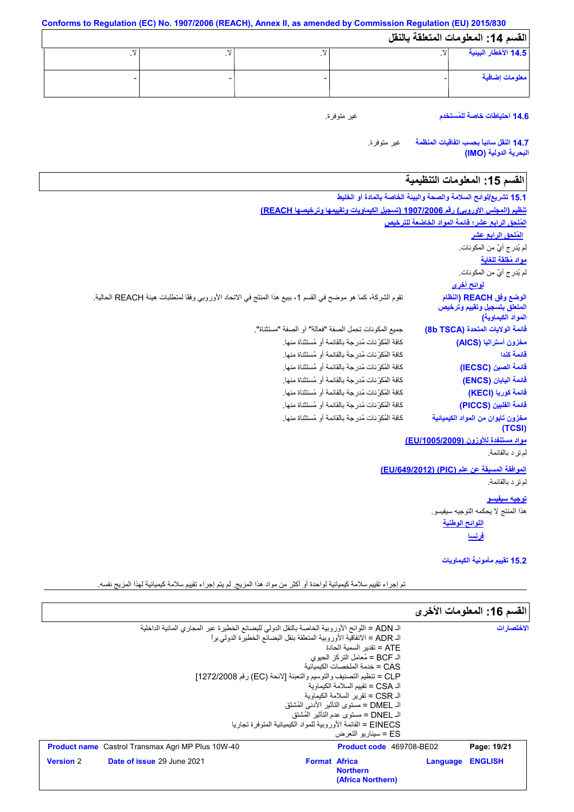**Conforms to Regulation (EC) No. 1907/2006 (REACH), Annex II, as amended by Commission Regulation (EU) 2015/830 القسم :14 المعلومات المتعلقة بالنقل** لا. - لا. - لا. - لا. - **14.5 الأخطار البیئیة معلومات إضافیة**

**14.6 احتیاطات خاصة للمُستخدم**

غیر متوفرة.

غیر متوفرة. **14.7 النقل سائباً بحسب اتفاقیات المنظمة البحریة الدولیة (IMO(**

## القسم 15: المعلومات التنظيمية

| 15.1 تشريع/لوائح السلامة والصحة والبيئة الخاصة بالمادة أو الخليط |                                                                                                              |
|------------------------------------------------------------------|--------------------------------------------------------------------------------------------------------------|
|                                                                  | تنظيم (المجلس الأوروبي) رقم 1907/2006 (تسجيل الكيماويات وتقييمها وترخيصها REACH)                             |
| المُلحق الرابع عشر؛ قائمة المواد الخاضعة للترخيص                 |                                                                                                              |
| ا <u>لمُلحق الرابع عشر</u>                                       |                                                                                                              |
| لم يُدرِ ج أيٌّ من المكونات.                                     |                                                                                                              |
| مواد مُقلقة للغاية                                               |                                                                                                              |
| لم يُدرِ ج أيٌّ من المكونات.                                     |                                                                                                              |
| <u>لوائح أخرى</u>                                                |                                                                                                              |
| الوضع وفق REACH (النظام<br>المتعلق بتسجيل وتقييم وترخيص          | تقوم الشركة، كما هو موضح في القسم 1، ببيع هذا المنتَج في الاتحاد الأوروبي وفقًا لمنطلبات هيئة REACH الحالية. |
| المواد الكيماوية)                                                |                                                                                                              |
| قائمة الولايات المتحدة (8b TSCA)                                 | جميع المكونات تحمل الصفة "فعالة" أو الصفة "مستثناة".                                                         |
| مخزون أستراليا (AICS)                                            | كافة المُكوِّ نات مُدرِ جة بالقائمة أو مُستثناة منها.                                                        |
| قائمة كندا                                                       | كافة المُكوِّ نات مُدرِ جة بالقائمة أو مُستثناة منها.                                                        |
| قائمة الصين (IECSC)                                              | كافة المُكوِّ نات مُدرِجة بالقائمة أو مُستثناة منها.                                                         |
| فَائمة اليابان (ENCS)                                            | كافة المُكوِّ نات مُدرِ جة بالقائمة أو مُستثناة منها.                                                        |
| قائمة كوريا (KECI)                                               | كافة المُكوِّ نات مُدرِ جة بالقائمة أو مُستثناة منها.                                                        |
| قائمة الفلبين (PICCS)                                            | كافة المُكرِّ نات مُدر جة بالقائمة أو مُستثناة منها.                                                         |
| مخزون تايوان من المواد الكيميائية<br>(TCSI)                      | كافة الْمُكرِّ نات مُدر جة بِالْقائمة أو مُستثناة منها.                                                      |
| مواد مستنفدة للأوزون (EU/1005/2009)                              |                                                                                                              |
| لم تر د بالقائمة.                                                |                                                                                                              |
| الموافقة المسبقة عن علم (PIC) (EU/649/2012)                      |                                                                                                              |
| لم تر د بالقائمة.                                                |                                                                                                              |
| <u>توجيه سيفيسو</u>                                              |                                                                                                              |
| هذا المنتج لا يحكمه التوجيه سيفيسو .                             |                                                                                                              |
| اللوائح الوطنية                                                  |                                                                                                              |
| <u>فرنسا</u>                                                     |                                                                                                              |

**15.2 تقییم مأمونیة الكیماویات**

تم إجراء تقییم سلامة كیمیائیة لواحدة أو أكثر من مواد ھذا المزیج. لم یتم إجراء تقییم سلامة كیمیائیة لھذا المزیج نفسھ.

|                                                                                               |                      |                                                                 |          | القسم 16: المعلومات الأخرى |
|-----------------------------------------------------------------------------------------------|----------------------|-----------------------------------------------------------------|----------|----------------------------|
| الـ ADN = اللوائح الأوروبية الخاصة بالنقل الدولي للبضائع الخطيرة عبر المجاري المائية الداخلية |                      |                                                                 |          | الاختصار ات                |
| الـ ADR = الاتفاقية الأوروبية المتعلقة بنقل البضائع الخطيرة الدولي براً                       |                      |                                                                 |          |                            |
|                                                                                               |                      | ATF = تقدىر   السمية الحادة                                     |          |                            |
|                                                                                               |                      | الـ BCF = مُعامل التركز  الحيوي                                 |          |                            |
|                                                                                               |                      | CAS = خدمة الملخصات الكبمبائبة                                  |          |                            |
| CLP = تنظيم التصنيف والتوسيم والتعبئة [لائحة (EC) رقم 1272/2008]                              |                      |                                                                 |          |                            |
|                                                                                               |                      | الـ CSA = تقبيم السلامة الكبماو بة                              |          |                            |
|                                                                                               |                      | الـ CSR = تقرير السلامة الكبماوية                               |          |                            |
|                                                                                               |                      | الـ DMEL = مستوى التأثير  الأدني المُشتَق                       |          |                            |
|                                                                                               |                      | الـ DNEL = مستوى عدم التأثير  المُشتق                           |          |                            |
|                                                                                               |                      | EINECS = القائمة الأور ويبة للمواد الكبمبائية المتوفر ة تجار با |          |                            |
|                                                                                               |                      | ES = سبنار بو التعرض                                            |          |                            |
| <b>Product name</b> Castrol Transmax Agri MP Plus 10W-40                                      |                      | <b>Product code</b> 469708-BE02                                 |          | Page: 19/21                |
| Date of issue 29 June 2021<br><b>Version 2</b>                                                | <b>Format Africa</b> |                                                                 | Language | <b>ENGLISH</b>             |
|                                                                                               |                      | <b>Northern</b>                                                 |          |                            |
|                                                                                               |                      | (Africa Northern)                                               |          |                            |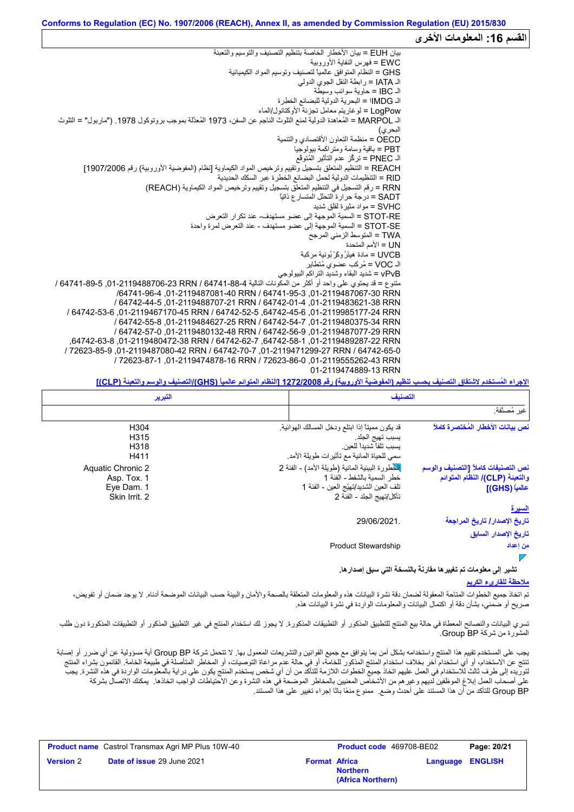### القسم 16: المعلومات الأخر<sub>ى</sub> بیان EUH = بیان الأخطار الخاصة بتنظیم التصنیف والتوسیم والتعبئة EWC = فھرس النفایة الأوروبیة GHS = النظام المتوافق عالمیاً لتصنیف وتوسیم المواد الكیمیائیة الـ IATA = رابطة النقل الجوي الدولي الـ IBC = حاویة سوائب وسیطة الـ IMDGا = البحریة الدولیة للبضائع الخطِرة LogPow = لوغاریتم معامل تجزئة الأوكتانول/الماء الـ MARPOL = المُعاھدة الدولیة لمنع التلوث الناجم عن السفن، 1973 المُعدَّلة بموجب بروتوكول .1978 ("ماربول" = التلوث البحري) OECD = منظمة التعاون الأقتصادي والتنمیة PBT = باقیة وسامة ومتراكمة بیولوجیا الـ PNEC = تركُّز عدم التأثیر المُتوقَّع REACH = التنظیم المتعلق بتسجیل وتقییم وترخیص المواد الكیماویة [نظام (المفوضیة الأوروبیة) رقم 1907/2006] RID = التنظیمات الدولیة لحمل البضائع الخطرة عبر السكك الحدیدیة RRN = رقم التسجیل في التنظیم المتعلق بتسجیل وتقییم وترخیص المواد الكیماویة (REACH( SADT = درجة حرارة التحلل المتسارع ذاتیاً SVHC = مواد مثیرة لقلق شدید RE-STOT = السمیة الموجھة إلى عضو مستھدف- عند تكرار التعرض SE-STOT = السمیة الموجھة إلى عضو مستھدف - عند التعرض لمرة واحدة TWA = المتوسط الزمني المرجح UN = الأمم المتحدة<br>UVCB = مادة هيئرُ وكَرْ بُونية مركبة SVHC = مواد مثيرة لغلق شديد<br>STOT-RE = السمية الموجهة إلى .<br>STOT-SE = السمية الموجهة إلى .<br>TWA = المنوسط الزمني المرجح<br>UVCB = مادة هيئرُ ركَّرٌ بُونية مركبة<br>UVCB = مادة هيئرُ ركَّرٌ بُونية مركبة<br>VOC = مُركب عضوي مُتطاير الـ VOC = مُركب عضوي مُتطایر vPvB = شدید البقاء وشدید التراكم البیولوجي متنوع = قد یحتوي على واحد أو أكثر من المكونات التالیة 64741-88-4 / RRN ,01-2119488706-23 64741-89-5 / /64741-96-4 ,01-2119487081-40 RRN / 64741-95-3 ,01-2119487067-30 RRN / 64742-44-5 ,01-2119488707-21 RRN / 64742-01-4 ,01-2119483621-38 RRN / 64742-53-6 ,01-2119467170-45 RRN / 64742-52-5 ,64742-45-6 ,01-2119985177-24 RRN / 64742-55-8 ,01-2119484627-25 RRN / 64742-54-7 ,01-2119480375-34 RRN / 64742-57-0 ,01-2119480132-48 RRN / 64742-56-9 ,01-2119487077-29 RRN ,64742-63-8 ,01-2119480472-38 RRN / 64742-62-7 ,64742-58-1 ,01-2119489287-22 RRN / 72623-85-9 ,01-2119487080-42 RRN / 64742-70-7 ,01-2119471299-27 RRN / 64742-65-0 / 72623-87-1 ,01-2119474878-16 RRN / 72623-86-0 ,01-2119555262-43 RRN 01-2119474889-13 RRN

**الإجراء المُستخدم لاشتقاق التصنیف بحسب تنظیم (المفوضیة الأوروبیة) رقم 1272/2008 [النظام المتوائم عالمیاً (GHS(/التصنیف والوسم والتعبئة (CLP[(**

| التبرير                                                         | التصنيف                                                                                                                                                                                                                                           |
|-----------------------------------------------------------------|---------------------------------------------------------------------------------------------------------------------------------------------------------------------------------------------------------------------------------------------------|
|                                                                 | غير مُصنَّفة.                                                                                                                                                                                                                                     |
| H304<br>H315<br>H318<br>H411                                    | نص بيانات الأخطار المُختصرة كاملاً<br>قد يكون مميناً إذا ابتلع ودخل المسالك الهوائية.<br>يسبب تهيج الجلد<br>يسبب تلفاً شديداً للعين.<br>سمى للحياة المائية مع تأثيرات طويلة الأمد.                                                                |
| Aquatic Chronic 2<br>Asp. Tox. 1<br>Eye Dam. 1<br>Skin Irrit. 2 | للْخطورة البيئية المائية (طويلة الأمد) - الفئة 2<br>نص التصنيفات كاملأ [التصنيف والوسم<br>خطر السمبة بالشفط - الفئة 1<br>والتعبئة (CLP)/ النظام المتوائم<br>نلف العين الشديد/تهيّج العين - الفئة 1<br>عالمياً (GHS)]<br>تأكل/تهيج الجلد - الفئة 2 |
|                                                                 | <u>السيرة</u>                                                                                                                                                                                                                                     |
|                                                                 | تاريخ الإصدار / تاريخ المراجعة<br>29/06/2021<br>تاريخ الإصدار السابق                                                                                                                                                                              |
|                                                                 | <b>Product Stewardship</b><br>من إعداد                                                                                                                                                                                                            |

**تشیر إلى معلومات تم تغییرھا مقارنةً بالنسخة التي سبق إصدارھا.**

### **ملاحظة للقاريء الكریم**

تم اتخاذ جمیع الخطوات المتاحة المعقولة لضمان دقة نشرة البیانات هذه والمعلقات بالصحة والأمان والبیئة حسب البیانات الموضحة أدناه. لا یوجد ضمان أو تفویض، صریح أو ضمني، بشأن دقة أو اكتمال البیانات والمعلومات الواردة في نشرة البیانات ھذه.

تسري البيانات والنصائح المعطاة في حالة بيع المنتج للتطبيق المنكورة. لكو التحادي التحداد المنتج في غير التطبيق المذكور أو التطبيقات المذكورة دون طلب المشورة من شركة BP Group.

يجب على المستخدم تقييم هذا المنتج واستخدامه بشكل آمن بما يتوافق مع جميع القوانين والتشريعات المعمول بها. لا تتحمل شركة Group BP أية مسؤولية عن أي ضرر أو إصابة تنتج عن الاستخدام، أو أي استخدام آخر بخلاف استخدام المنتج المذكور للخامة، عدم مراعاة التوصیات، أو المخاطر المتأصلة في طبیعة الخامة. القائمون بشراء المنتج لتوریده إلى طرف ثالث للاستخدام في العمل علیھم اتخاذ جمیع الخطوات اللازمة للتأكد من أن أي شخص یستخدم المنتج یكون على درایة بالمعلومات الواردة في ھذه النشرة. یجب على أصحاب العمل إبلاغ الموظفین لدیھم وغیرھم من الأشخاص المعنیین بالمخاطر الموضحة في ھذه النشرة وعن الاحتیاطات الواجب اتخاذھا. یمكنك الاتصال بشركة BP Group للتأكد من أن ھذا المستند على أحدث وضع. ممنوع منعًا باتًا إجراء تغییر على ھذا المستند.

|                  | <b>Product name</b> Castrol Transmax Agri MP Plus 10W-40 |                      | <b>Product code</b> 469708-BE02      |                         | Page: 20/21 |
|------------------|----------------------------------------------------------|----------------------|--------------------------------------|-------------------------|-------------|
| <b>Version 2</b> | <b>Date of issue 29 June 2021</b>                        | <b>Format Africa</b> | <b>Northern</b><br>(Africa Northern) | <b>Language ENGLISH</b> |             |